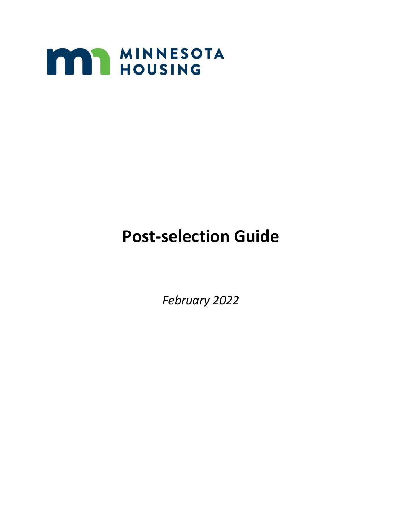

# **Post-selection Guide**

*February 2022*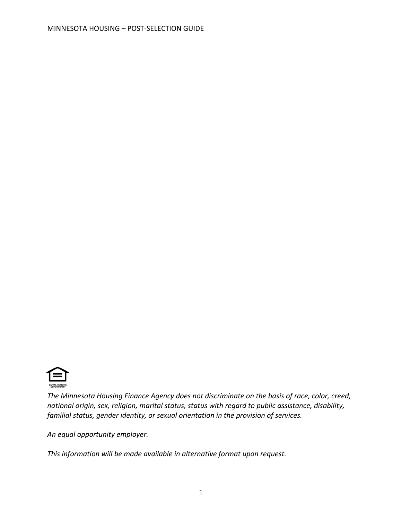

*The Minnesota Housing Finance Agency does not discriminate on the basis of race, color, creed, national origin, sex, religion, marital status, status with regard to public assistance, disability, familial status, gender identity, or sexual orientation in the provision of services.*

*An equal opportunity employer.*

*This information will be made available in alternative format upon request.*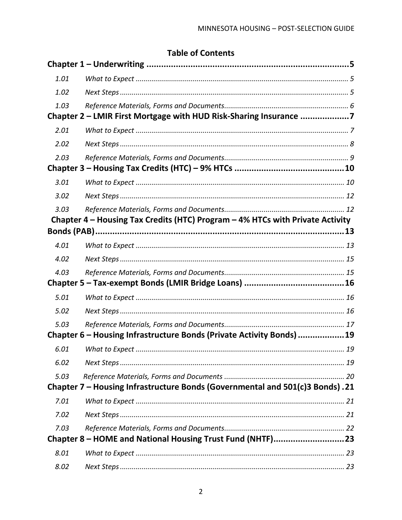# **Table of Contents**

| 1.01 |                                                                               |  |
|------|-------------------------------------------------------------------------------|--|
| 1.02 |                                                                               |  |
| 1.03 |                                                                               |  |
|      | Chapter 2 - LMIR First Mortgage with HUD Risk-Sharing Insurance 7             |  |
| 2.01 |                                                                               |  |
| 2.02 |                                                                               |  |
| 2.03 |                                                                               |  |
|      |                                                                               |  |
| 3.01 |                                                                               |  |
| 3.02 |                                                                               |  |
| 3.03 |                                                                               |  |
|      | Chapter 4 – Housing Tax Credits (HTC) Program – 4% HTCs with Private Activity |  |
|      |                                                                               |  |
| 4.01 |                                                                               |  |
| 4.02 |                                                                               |  |
| 4.03 |                                                                               |  |
|      |                                                                               |  |
| 5.01 |                                                                               |  |
| 5.02 |                                                                               |  |
| 5.03 |                                                                               |  |
|      | Chapter 6 - Housing Infrastructure Bonds (Private Activity Bonds) 19          |  |
| 6.01 |                                                                               |  |
| 6.02 |                                                                               |  |
| 5.03 |                                                                               |  |
|      | Chapter 7 - Housing Infrastructure Bonds (Governmental and 501(c)3 Bonds).21  |  |
| 7.01 |                                                                               |  |
| 7.02 |                                                                               |  |
| 7.03 |                                                                               |  |
|      | Chapter 8 - HOME and National Housing Trust Fund (NHTF)23                     |  |
| 8.01 |                                                                               |  |
| 8.02 |                                                                               |  |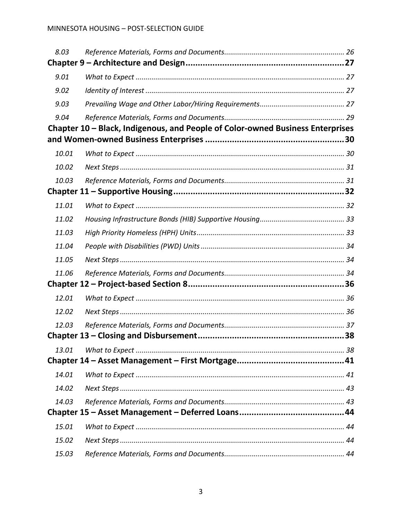| 8.03  |                                                                                |  |
|-------|--------------------------------------------------------------------------------|--|
|       |                                                                                |  |
| 9.01  |                                                                                |  |
| 9.02  |                                                                                |  |
| 9.03  |                                                                                |  |
| 9.04  |                                                                                |  |
|       | Chapter 10 - Black, Indigenous, and People of Color-owned Business Enterprises |  |
|       |                                                                                |  |
| 10.01 |                                                                                |  |
| 10.02 |                                                                                |  |
| 10.03 |                                                                                |  |
|       |                                                                                |  |
| 11.01 |                                                                                |  |
| 11.02 |                                                                                |  |
| 11.03 |                                                                                |  |
| 11.04 |                                                                                |  |
| 11.05 |                                                                                |  |
| 11.06 |                                                                                |  |
|       |                                                                                |  |
| 12.01 |                                                                                |  |
| 12.02 |                                                                                |  |
| 12.03 |                                                                                |  |
|       |                                                                                |  |
| 13.01 |                                                                                |  |
|       |                                                                                |  |
| 14.01 |                                                                                |  |
| 14.02 |                                                                                |  |
| 14.03 |                                                                                |  |
|       |                                                                                |  |
| 15.01 |                                                                                |  |
| 15.02 |                                                                                |  |
| 15.03 |                                                                                |  |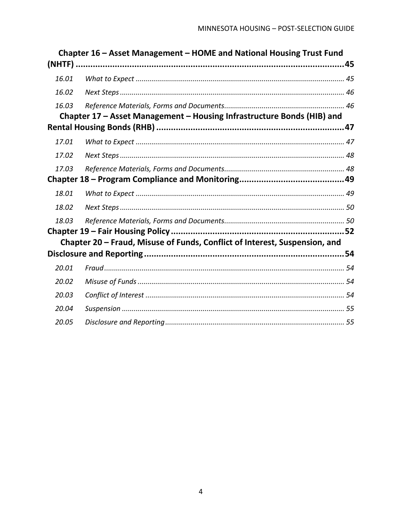|       | Chapter 16 - Asset Management - HOME and National Housing Trust Fund       |  |
|-------|----------------------------------------------------------------------------|--|
|       |                                                                            |  |
| 16.01 |                                                                            |  |
| 16.02 |                                                                            |  |
| 16.03 |                                                                            |  |
|       | Chapter 17 - Asset Management - Housing Infrastructure Bonds (HIB) and     |  |
|       |                                                                            |  |
| 17.01 |                                                                            |  |
| 17.02 |                                                                            |  |
| 17.03 |                                                                            |  |
|       |                                                                            |  |
| 18.01 |                                                                            |  |
| 18.02 |                                                                            |  |
| 18.03 |                                                                            |  |
|       |                                                                            |  |
|       | Chapter 20 – Fraud, Misuse of Funds, Conflict of Interest, Suspension, and |  |
|       |                                                                            |  |
| 20.01 |                                                                            |  |
| 20.02 |                                                                            |  |
| 20.03 |                                                                            |  |
| 20.04 |                                                                            |  |
| 20.05 |                                                                            |  |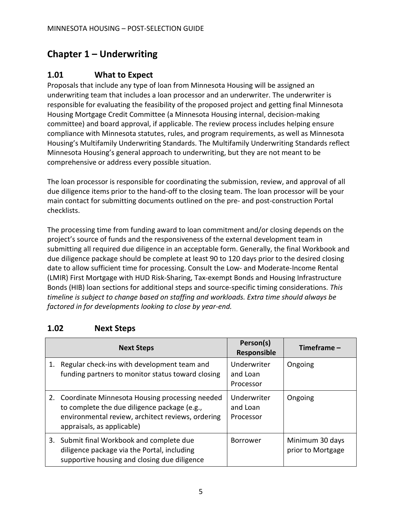# <span id="page-6-0"></span>**Chapter 1 – Underwriting**

### <span id="page-6-1"></span>**1.01 What to Expect**

Proposals that include any type of loan from Minnesota Housing will be assigned an underwriting team that includes a loan processor and an underwriter. The underwriter is responsible for evaluating the feasibility of the proposed project and getting final Minnesota Housing Mortgage Credit Committee (a Minnesota Housing internal, decision-making committee) and board approval, if applicable. The review process includes helping ensure compliance with Minnesota statutes, rules, and program requirements, as well as Minnesota Housing's Multifamily Underwriting Standards. The Multifamily Underwriting Standards reflect Minnesota Housing's general approach to underwriting, but they are not meant to be comprehensive or address every possible situation.

The loan processor is responsible for coordinating the submission, review, and approval of all due diligence items prior to the hand-off to the closing team. The loan processor will be your main contact for submitting documents outlined on the pre- and post-construction Portal checklists.

The processing time from funding award to loan commitment and/or closing depends on the project's source of funds and the responsiveness of the external development team in submitting all required due diligence in an acceptable form. Generally, the final Workbook and due diligence package should be complete at least 90 to 120 days prior to the desired closing date to allow sufficient time for processing. Consult the Low- and Moderate-Income Rental (LMIR) First Mortgage with HUD Risk-Sharing, Tax-exempt Bonds and Housing Infrastructure Bonds (HIB) loan sections for additional steps and source-specific timing considerations. *This timeline is subject to change based on staffing and workloads. Extra time should always be factored in for developments looking to close by year-end.*

### <span id="page-6-2"></span>**1.02 Next Steps**

| <b>Next Steps</b>                                                                                                                                                                    | Person(s)<br><b>Responsible</b>      | Timeframe -                          |
|--------------------------------------------------------------------------------------------------------------------------------------------------------------------------------------|--------------------------------------|--------------------------------------|
| 1. Regular check-ins with development team and<br>funding partners to monitor status toward closing                                                                                  | Underwriter<br>and Loan<br>Processor | Ongoing                              |
| 2. Coordinate Minnesota Housing processing needed<br>to complete the due diligence package (e.g.,<br>environmental review, architect reviews, ordering<br>appraisals, as applicable) | Underwriter<br>and Loan<br>Processor | Ongoing                              |
| 3. Submit final Workbook and complete due<br>diligence package via the Portal, including<br>supportive housing and closing due diligence                                             | <b>Borrower</b>                      | Minimum 30 days<br>prior to Mortgage |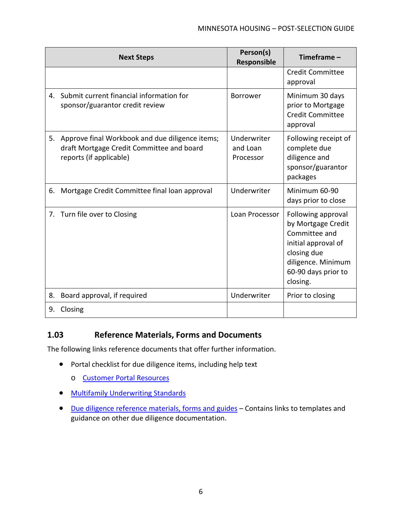|    | <b>Next Steps</b>                                                                                                          | Person(s)<br>Responsible             | Timeframe $-$                                                                                                                                            |
|----|----------------------------------------------------------------------------------------------------------------------------|--------------------------------------|----------------------------------------------------------------------------------------------------------------------------------------------------------|
|    |                                                                                                                            |                                      | <b>Credit Committee</b><br>approval                                                                                                                      |
|    | 4. Submit current financial information for<br>sponsor/guarantor credit review                                             | <b>Borrower</b>                      | Minimum 30 days<br>prior to Mortgage<br><b>Credit Committee</b><br>approval                                                                              |
|    | 5. Approve final Workbook and due diligence items;<br>draft Mortgage Credit Committee and board<br>reports (if applicable) | Underwriter<br>and Loan<br>Processor | Following receipt of<br>complete due<br>diligence and<br>sponsor/guarantor<br>packages                                                                   |
| 6. | Mortgage Credit Committee final loan approval                                                                              | Underwriter                          | Minimum 60-90<br>days prior to close                                                                                                                     |
|    | 7. Turn file over to Closing                                                                                               | Loan Processor                       | Following approval<br>by Mortgage Credit<br>Committee and<br>initial approval of<br>closing due<br>diligence. Minimum<br>60-90 days prior to<br>closing. |
| 8. | Board approval, if required                                                                                                | Underwriter                          | Prior to closing                                                                                                                                         |
| 9. | Closing                                                                                                                    |                                      |                                                                                                                                                          |

### <span id="page-7-0"></span>**1.03 Reference Materials, Forms and Documents**

- Portal checklist for due diligence items, including help text
	- o [Customer Portal Resources](https://www.mnhousing.gov/sites/multifamily/portal)
- [Multifamily Underwriting Standards](https://www.mnhousing.gov/get/MHFA_247348)
- [Due diligence reference materials, forms and guides](https://www.mnhousing.gov/sites/multifamily/postselection/developers) *–* Contains links to templates and guidance on other due diligence documentation.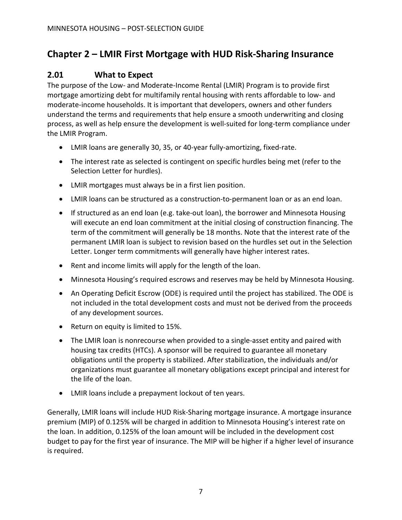# <span id="page-8-0"></span>**Chapter 2 – LMIR First Mortgage with HUD Risk-Sharing Insurance**

### <span id="page-8-1"></span>**2.01 What to Expect**

The purpose of the Low- and Moderate-Income Rental (LMIR) Program is to provide first mortgage amortizing debt for multifamily rental housing with rents affordable to low- and moderate-income households. It is important that developers, owners and other funders understand the terms and requirements that help ensure a smooth underwriting and closing process, as well as help ensure the development is well-suited for long-term compliance under the LMIR Program.

- LMIR loans are generally 30, 35, or 40-year fully-amortizing, fixed-rate.
- The interest rate as selected is contingent on specific hurdles being met (refer to the Selection Letter for hurdles).
- LMIR mortgages must always be in a first lien position.
- LMIR loans can be structured as a construction-to-permanent loan or as an end loan.
- If structured as an end loan (e.g. take-out loan), the borrower and Minnesota Housing will execute an end loan commitment at the initial closing of construction financing. The term of the commitment will generally be 18 months. Note that the interest rate of the permanent LMIR loan is subject to revision based on the hurdles set out in the Selection Letter. Longer term commitments will generally have higher interest rates.
- Rent and income limits will apply for the length of the loan.
- Minnesota Housing's required escrows and reserves may be held by Minnesota Housing.
- An Operating Deficit Escrow (ODE) is required until the project has stabilized. The ODE is not included in the total development costs and must not be derived from the proceeds of any development sources.
- Return on equity is limited to 15%.
- The LMIR loan is nonrecourse when provided to a single-asset entity and paired with housing tax credits (HTCs). A sponsor will be required to guarantee all monetary obligations until the property is stabilized. After stabilization, the individuals and/or organizations must guarantee all monetary obligations except principal and interest for the life of the loan.
- LMIR loans include a prepayment lockout of ten years.

Generally, LMIR loans will include HUD Risk-Sharing mortgage insurance. A mortgage insurance premium (MIP) of 0.125% will be charged in addition to Minnesota Housing's interest rate on the loan. In addition, 0.125% of the loan amount will be included in the development cost budget to pay for the first year of insurance. The MIP will be higher if a higher level of insurance is required.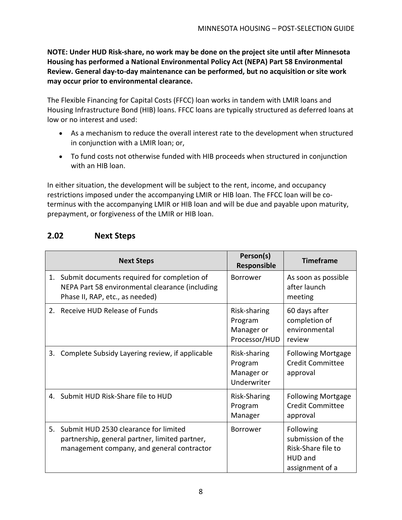**NOTE: Under HUD Risk-share, no work may be done on the project site until after Minnesota Housing has performed a National Environmental Policy Act (NEPA) Part 58 Environmental Review. General day-to-day maintenance can be performed, but no acquisition or site work may occur prior to environmental clearance.**

The Flexible Financing for Capital Costs (FFCC) loan works in tandem with LMIR loans and Housing Infrastructure Bond (HIB) loans. FFCC loans are typically structured as deferred loans at low or no interest and used:

- As a mechanism to reduce the overall interest rate to the development when structured in conjunction with a LMIR loan; or,
- To fund costs not otherwise funded with HIB proceeds when structured in conjunction with an HIB loan.

In either situation, the development will be subject to the rent, income, and occupancy restrictions imposed under the accompanying LMIR or HIB loan. The FFCC loan will be coterminus with the accompanying LMIR or HIB loan and will be due and payable upon maturity, prepayment, or forgiveness of the LMIR or HIB loan.

### <span id="page-9-0"></span>**2.02 Next Steps**

|    | <b>Next Steps</b>                                                                                                                     | Person(s)<br>Responsible                               | <b>Timeframe</b>                                                                          |
|----|---------------------------------------------------------------------------------------------------------------------------------------|--------------------------------------------------------|-------------------------------------------------------------------------------------------|
|    | 1. Submit documents required for completion of<br>NEPA Part 58 environmental clearance (including<br>Phase II, RAP, etc., as needed)  | <b>Borrower</b>                                        | As soon as possible<br>after launch<br>meeting                                            |
|    | 2. Receive HUD Release of Funds                                                                                                       | Risk-sharing<br>Program<br>Manager or<br>Processor/HUD | 60 days after<br>completion of<br>environmental<br>review                                 |
| 3. | Complete Subsidy Layering review, if applicable                                                                                       | Risk-sharing<br>Program<br>Manager or<br>Underwriter   | <b>Following Mortgage</b><br><b>Credit Committee</b><br>approval                          |
|    | 4. Submit HUD Risk-Share file to HUD                                                                                                  | Risk-Sharing<br>Program<br>Manager                     | <b>Following Mortgage</b><br><b>Credit Committee</b><br>approval                          |
| 5. | Submit HUD 2530 clearance for limited<br>partnership, general partner, limited partner,<br>management company, and general contractor | <b>Borrower</b>                                        | Following<br>submission of the<br>Risk-Share file to<br><b>HUD and</b><br>assignment of a |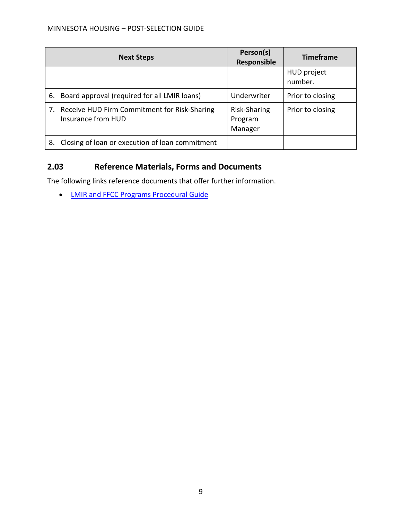|    | <b>Next Steps</b>                                                     | Person(s)<br>Responsible           | <b>Timeframe</b>              |
|----|-----------------------------------------------------------------------|------------------------------------|-------------------------------|
|    |                                                                       |                                    | <b>HUD</b> project<br>number. |
|    | 6. Board approval (required for all LMIR loans)                       | Underwriter                        | Prior to closing              |
|    | 7. Receive HUD Firm Commitment for Risk-Sharing<br>Insurance from HUD | Risk-Sharing<br>Program<br>Manager | Prior to closing              |
| 8. | Closing of loan or execution of loan commitment                       |                                    |                               |

### <span id="page-10-0"></span>**2.03 Reference Materials, Forms and Documents**

The following links reference documents that offer further information.

• [LMIR and FFCC Programs Procedural Guide](https://www.mnhousing.gov/get/mhfa_005386)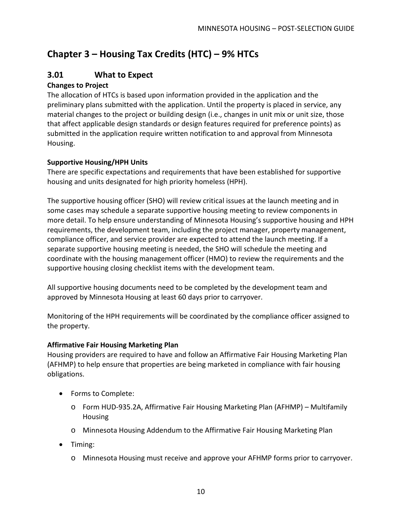# <span id="page-11-0"></span>**Chapter 3 – Housing Tax Credits (HTC) – 9% HTCs**

### <span id="page-11-1"></span>**3.01 What to Expect**

### **Changes to Project**

The allocation of HTCs is based upon information provided in the application and the preliminary plans submitted with the application. Until the property is placed in service, any material changes to the project or building design (i.e., changes in unit mix or unit size, those that affect applicable design standards or design features required for preference points) as submitted in the application require written notification to and approval from Minnesota Housing.

### **Supportive Housing/HPH Units**

There are specific expectations and requirements that have been established for supportive housing and units designated for high priority homeless (HPH).

The supportive housing officer (SHO) will review critical issues at the launch meeting and in some cases may schedule a separate supportive housing meeting to review components in more detail. To help ensure understanding of Minnesota Housing's supportive housing and HPH requirements, the development team, including the project manager, property management, compliance officer, and service provider are expected to attend the launch meeting. If a separate supportive housing meeting is needed, the SHO will schedule the meeting and coordinate with the housing management officer (HMO) to review the requirements and the supportive housing closing checklist items with the development team.

All supportive housing documents need to be completed by the development team and approved by Minnesota Housing at least 60 days prior to carryover.

Monitoring of the HPH requirements will be coordinated by the compliance officer assigned to the property.

### **Affirmative Fair Housing Marketing Plan**

Housing providers are required to have and follow an Affirmative Fair Housing Marketing Plan (AFHMP) to help ensure that properties are being marketed in compliance with fair housing obligations.

- Forms to Complete:
	- o Form HUD-935.2A, Affirmative Fair Housing Marketing Plan (AFHMP) Multifamily Housing
	- o Minnesota Housing Addendum to the Affirmative Fair Housing Marketing Plan
- Timing:
	- o Minnesota Housing must receive and approve your AFHMP forms prior to carryover.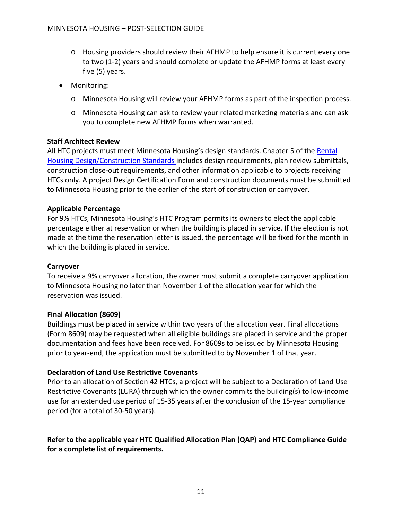- o Housing providers should review their AFHMP to help ensure it is current every one to two (1-2) years and should complete or update the AFHMP forms at least every five (5) years.
- Monitoring:
	- o Minnesota Housing will review your AFHMP forms as part of the inspection process.
	- o Minnesota Housing can ask to review your related marketing materials and can ask you to complete new AFHMP forms when warranted.

#### **Staff Architect Review**

All HTC projects must meet Minnesota Housing's design standards. Chapter 5 of the Rental [Housing Design/Construction Standards](https://www.mnhousing.gov/sites/multifamily/buildingstandards) includes design requirements, plan review submittals, construction close-out requirements, and other information applicable to projects receiving HTCs only. A project Design Certification Form and construction documents must be submitted to Minnesota Housing prior to the earlier of the start of construction or carryover.

#### **Applicable Percentage**

For 9% HTCs, Minnesota Housing's HTC Program permits its owners to elect the applicable percentage either at reservation or when the building is placed in service. If the election is not made at the time the reservation letter is issued, the percentage will be fixed for the month in which the building is placed in service.

#### **Carryover**

To receive a 9% carryover allocation, the owner must submit a complete carryover application to Minnesota Housing no later than November 1 of the allocation year for which the reservation was issued.

#### **Final Allocation (8609)**

Buildings must be placed in service within two years of the allocation year. Final allocations (Form 8609) may be requested when all eligible buildings are placed in service and the proper documentation and fees have been received. For 8609s to be issued by Minnesota Housing prior to year-end, the application must be submitted to by November 1 of that year.

#### **Declaration of Land Use Restrictive Covenants**

Prior to an allocation of Section 42 HTCs, a project will be subject to a Declaration of Land Use Restrictive Covenants (LURA) through which the owner commits the building(s) to low-income use for an extended use period of 15-35 years after the conclusion of the 15-year compliance period (for a total of 30-50 years).

**Refer to the applicable year HTC Qualified Allocation Plan (QAP) and HTC Compliance Guide for a complete list of requirements.**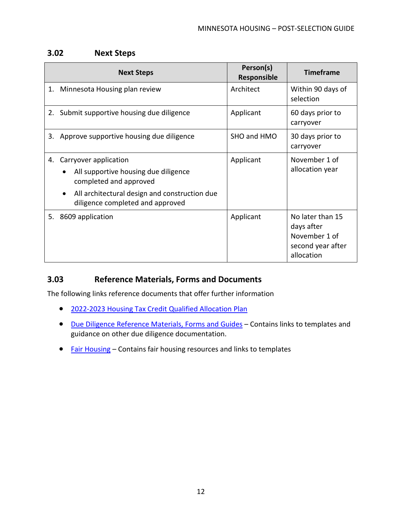### <span id="page-13-0"></span>**3.02 Next Steps**

|    | <b>Next Steps</b>                                                                                                                                                            | Person(s)<br>Responsible | <b>Timeframe</b>                                                                   |
|----|------------------------------------------------------------------------------------------------------------------------------------------------------------------------------|--------------------------|------------------------------------------------------------------------------------|
| 1. | Minnesota Housing plan review                                                                                                                                                | Architect                | Within 90 days of<br>selection                                                     |
|    | 2. Submit supportive housing due diligence                                                                                                                                   | Applicant                | 60 days prior to<br>carryover                                                      |
| 3. | Approve supportive housing due diligence                                                                                                                                     | SHO and HMO              | 30 days prior to<br>carryover                                                      |
| 4. | Carryover application<br>All supportive housing due diligence<br>completed and approved<br>All architectural design and construction due<br>diligence completed and approved | Applicant                | November 1 of<br>allocation year                                                   |
|    | 5. 8609 application                                                                                                                                                          | Applicant                | No later than 15<br>days after<br>November 1 of<br>second year after<br>allocation |

### <span id="page-13-1"></span>**3.03 Reference Materials, Forms and Documents**

- [2022-2023 Housing Tax Credit Qualified Allocation Plan](https://www.mnhousing.gov/get/mhfa_238915)
- [Due Diligence Reference Materials, Forms and Guides](https://www.mnhousing.gov/sites/multifamily/postselection/developers) Contains links to templates and guidance on other due diligence documentation.
- [Fair Housing](https://www.mnhousing.gov/wcs/Satellite?c=Page&cid=1358905739252&pagename=External%2FPage%2FEXTStandardLayout) Contains fair housing resources and links to templates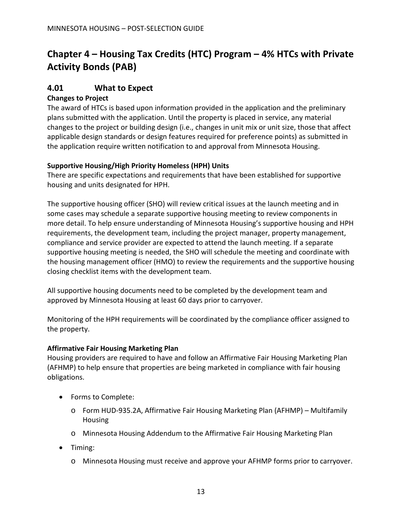# <span id="page-14-0"></span>**Chapter 4 – Housing Tax Credits (HTC) Program – 4% HTCs with Private Activity Bonds (PAB)**

### <span id="page-14-1"></span>**4.01 What to Expect**

### **Changes to Project**

The award of HTCs is based upon information provided in the application and the preliminary plans submitted with the application. Until the property is placed in service, any material changes to the project or building design (i.e., changes in unit mix or unit size, those that affect applicable design standards or design features required for preference points) as submitted in the application require written notification to and approval from Minnesota Housing.

#### **Supportive Housing/High Priority Homeless (HPH) Units**

There are specific expectations and requirements that have been established for supportive housing and units designated for HPH.

The supportive housing officer (SHO) will review critical issues at the launch meeting and in some cases may schedule a separate supportive housing meeting to review components in more detail. To help ensure understanding of Minnesota Housing's supportive housing and HPH requirements, the development team, including the project manager, property management, compliance and service provider are expected to attend the launch meeting. If a separate supportive housing meeting is needed, the SHO will schedule the meeting and coordinate with the housing management officer (HMO) to review the requirements and the supportive housing closing checklist items with the development team.

All supportive housing documents need to be completed by the development team and approved by Minnesota Housing at least 60 days prior to carryover.

Monitoring of the HPH requirements will be coordinated by the compliance officer assigned to the property.

#### **Affirmative Fair Housing Marketing Plan**

Housing providers are required to have and follow an Affirmative Fair Housing Marketing Plan (AFHMP) to help ensure that properties are being marketed in compliance with fair housing obligations.

- Forms to Complete:
	- o Form HUD-935.2A, Affirmative Fair Housing Marketing Plan (AFHMP) Multifamily Housing
	- o Minnesota Housing Addendum to the Affirmative Fair Housing Marketing Plan
- Timing:
	- o Minnesota Housing must receive and approve your AFHMP forms prior to carryover.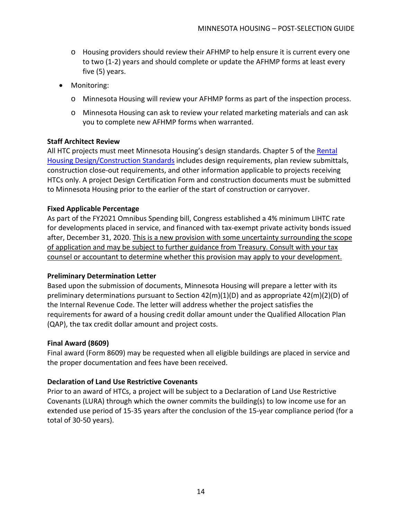- o Housing providers should review their AFHMP to help ensure it is current every one to two (1-2) years and should complete or update the AFHMP forms at least every five (5) years.
- Monitoring:
	- o Minnesota Housing will review your AFHMP forms as part of the inspection process.
	- o Minnesota Housing can ask to review your related marketing materials and can ask you to complete new AFHMP forms when warranted.

#### **Staff Architect Review**

All HTC projects must meet Minnesota Housing's design standards. Chapter 5 of the Rental [Housing Design/Construction Standards](https://www.mnhousing.gov/sites/multifamily/buildingstandards) includes design requirements, plan review submittals, construction close-out requirements, and other information applicable to projects receiving HTCs only. A project Design Certification Form and construction documents must be submitted to Minnesota Housing prior to the earlier of the start of construction or carryover.

#### **Fixed Applicable Percentage**

As part of the FY2021 Omnibus Spending bill, Congress established a 4% minimum LIHTC rate for developments placed in service, and financed with tax-exempt private activity bonds issued after, December 31, 2020. This is a new provision with some uncertainty surrounding the scope of application and may be subject to further guidance from Treasury. Consult with your tax counsel or accountant to determine whether this provision may apply to your development.

#### **Preliminary Determination Letter**

Based upon the submission of documents, Minnesota Housing will prepare a letter with its preliminary determinations pursuant to Section 42(m)(1)(D) and as appropriate 42(m)(2)(D) of the Internal Revenue Code. The letter will address whether the project satisfies the requirements for award of a housing credit dollar amount under the Qualified Allocation Plan (QAP), the tax credit dollar amount and project costs.

#### **Final Award (8609)**

Final award (Form 8609) may be requested when all eligible buildings are placed in service and the proper documentation and fees have been received.

#### **Declaration of Land Use Restrictive Covenants**

Prior to an award of HTCs, a project will be subject to a Declaration of Land Use Restrictive Covenants (LURA) through which the owner commits the building(s) to low income use for an extended use period of 15-35 years after the conclusion of the 15-year compliance period (for a total of 30-50 years).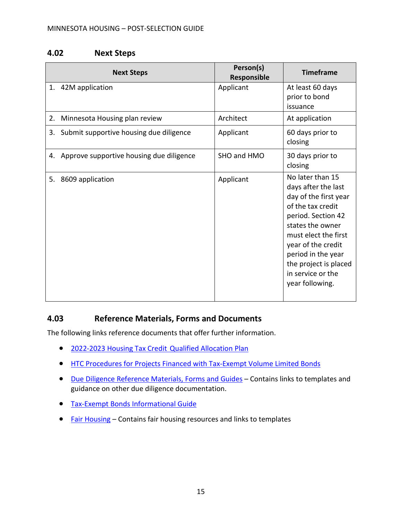### <span id="page-16-0"></span>**4.02 Next Steps**

|    | <b>Next Steps</b>                           | Person(s)<br>Responsible | <b>Timeframe</b>                                                                                                                                                                                                                                                     |
|----|---------------------------------------------|--------------------------|----------------------------------------------------------------------------------------------------------------------------------------------------------------------------------------------------------------------------------------------------------------------|
| 1. | 42M application                             | Applicant                | At least 60 days<br>prior to bond<br>issuance                                                                                                                                                                                                                        |
| 2. | Minnesota Housing plan review               | Architect                | At application                                                                                                                                                                                                                                                       |
|    | 3. Submit supportive housing due diligence  | Applicant                | 60 days prior to<br>closing                                                                                                                                                                                                                                          |
|    | 4. Approve supportive housing due diligence | SHO and HMO              | 30 days prior to<br>closing                                                                                                                                                                                                                                          |
| 5. | 8609 application                            | Applicant                | No later than 15<br>days after the last<br>day of the first year<br>of the tax credit<br>period. Section 42<br>states the owner<br>must elect the first<br>year of the credit<br>period in the year<br>the project is placed<br>in service or the<br>year following. |

### <span id="page-16-1"></span>**4.03 Reference Materials, Forms and Documents**

- [2022-2023 Housing Tax Credit](https://www.mnhousing.gov/get/MHFA_238915) Qualified Allocation Plan
- [HTC Procedures for Projects Financed with Tax-Exempt Volume Limited Bonds](https://www.mnhousing.gov/get/MHFA_006163)
- [Due Diligence Reference Materials, Forms and Guides](https://www.mnhousing.gov/sites/multifamily/postselection/developers) Contains links to templates and guidance on other due diligence documentation.
- [Tax-Exempt Bonds Informational Guide](https://www.mnhousing.gov/get/MHFA_1038786)
- [Fair Housing](https://www.mnhousing.gov/wcs/Satellite?c=Page&cid=1358905739252&pagename=External%2FPage%2FEXTStandardLayout) Contains fair housing resources and links to templates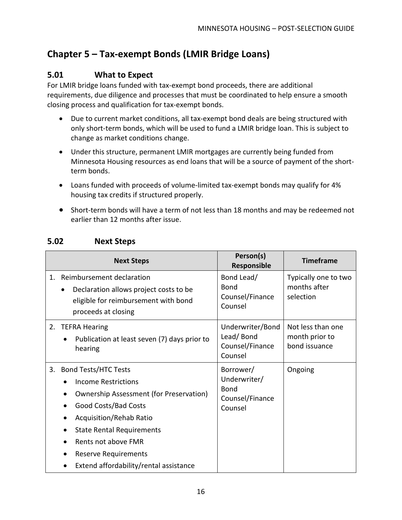# <span id="page-17-0"></span>**Chapter 5 – Tax-exempt Bonds (LMIR Bridge Loans)**

### <span id="page-17-1"></span>**5.01 What to Expect**

For LMIR bridge loans funded with tax-exempt bond proceeds, there are additional requirements, due diligence and processes that must be coordinated to help ensure a smooth closing process and qualification for tax-exempt bonds.

- Due to current market conditions, all tax-exempt bond deals are being structured with only short-term bonds, which will be used to fund a LMIR bridge loan. This is subject to change as market conditions change.
- Under this structure, permanent LMIR mortgages are currently being funded from Minnesota Housing resources as end loans that will be a source of payment of the shortterm bonds.
- Loans funded with proceeds of volume-limited tax-exempt bonds may qualify for 4% housing tax credits if structured properly.
- Short-term bonds will have a term of not less than 18 months and may be redeemed not earlier than 12 months after issue.

<span id="page-17-2"></span>

|    | <b>Next Steps</b>                                                                                                                                                                                                                                                                           | Person(s)<br>Responsible                                        | <b>Timeframe</b>                                     |
|----|---------------------------------------------------------------------------------------------------------------------------------------------------------------------------------------------------------------------------------------------------------------------------------------------|-----------------------------------------------------------------|------------------------------------------------------|
| 1. | Reimbursement declaration<br>Declaration allows project costs to be<br>eligible for reimbursement with bond<br>proceeds at closing                                                                                                                                                          | Bond Lead/<br>Bond<br>Counsel/Finance<br>Counsel                | Typically one to two<br>months after<br>selection    |
| 2. | <b>TEFRA Hearing</b><br>Publication at least seven (7) days prior to<br>hearing                                                                                                                                                                                                             | Underwriter/Bond<br>Lead/Bond<br>Counsel/Finance<br>Counsel     | Not less than one<br>month prior to<br>bond issuance |
| 3. | <b>Bond Tests/HTC Tests</b><br>Income Restrictions<br><b>Ownership Assessment (for Preservation)</b><br>Good Costs/Bad Costs<br>Acquisition/Rehab Ratio<br><b>State Rental Requirements</b><br>Rents not above FMR<br><b>Reserve Requirements</b><br>Extend affordability/rental assistance | Borrower/<br>Underwriter/<br>Bond<br>Counsel/Finance<br>Counsel | Ongoing                                              |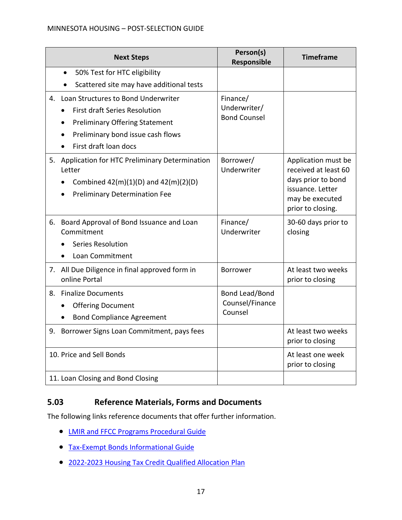#### MINNESOTA HOUSING – POST-SELECTION GUIDE

|    | <b>Next Steps</b>                                                                                                                           | Person(s)<br>Responsible                     | <b>Timeframe</b>                                                                                                              |
|----|---------------------------------------------------------------------------------------------------------------------------------------------|----------------------------------------------|-------------------------------------------------------------------------------------------------------------------------------|
|    | 50% Test for HTC eligibility<br>$\bullet$                                                                                                   |                                              |                                                                                                                               |
|    | Scattered site may have additional tests<br>$\bullet$                                                                                       |                                              |                                                                                                                               |
|    | 4. Loan Structures to Bond Underwriter<br><b>First draft Series Resolution</b>                                                              | Finance/<br>Underwriter/                     |                                                                                                                               |
|    |                                                                                                                                             | <b>Bond Counsel</b>                          |                                                                                                                               |
|    | <b>Preliminary Offering Statement</b><br>Preliminary bond issue cash flows                                                                  |                                              |                                                                                                                               |
|    | First draft loan docs                                                                                                                       |                                              |                                                                                                                               |
| 5. | Application for HTC Preliminary Determination<br>Letter<br>Combined $42(m)(1)(D)$ and $42(m)(2)(D)$<br><b>Preliminary Determination Fee</b> | Borrower/<br>Underwriter                     | Application must be<br>received at least 60<br>days prior to bond<br>issuance. Letter<br>may be executed<br>prior to closing. |
|    | 6. Board Approval of Bond Issuance and Loan<br>Commitment<br><b>Series Resolution</b><br>Loan Commitment                                    | Finance/<br>Underwriter                      | 30-60 days prior to<br>closing                                                                                                |
| 7. | All Due Diligence in final approved form in<br>online Portal                                                                                | <b>Borrower</b>                              | At least two weeks<br>prior to closing                                                                                        |
| 8. | <b>Finalize Documents</b><br><b>Offering Document</b><br><b>Bond Compliance Agreement</b>                                                   | Bond Lead/Bond<br>Counsel/Finance<br>Counsel |                                                                                                                               |
|    | 9. Borrower Signs Loan Commitment, pays fees                                                                                                |                                              | At least two weeks<br>prior to closing                                                                                        |
|    | 10. Price and Sell Bonds                                                                                                                    |                                              | At least one week<br>prior to closing                                                                                         |
|    | 11. Loan Closing and Bond Closing                                                                                                           |                                              |                                                                                                                               |

### <span id="page-18-0"></span>**5.03 Reference Materials, Forms and Documents**

- [LMIR and FFCC Programs Procedural Guide](https://www.mnhousing.gov/get/MHFA_005386)
- [Tax-Exempt Bonds Informational Guide](https://www.mnhousing.gov/get/MHFA_1038786)
- 2022-2023 [Housing Tax Credit Qualified Allocation Plan](https://www.mnhousing.gov/get/MHFA_238915)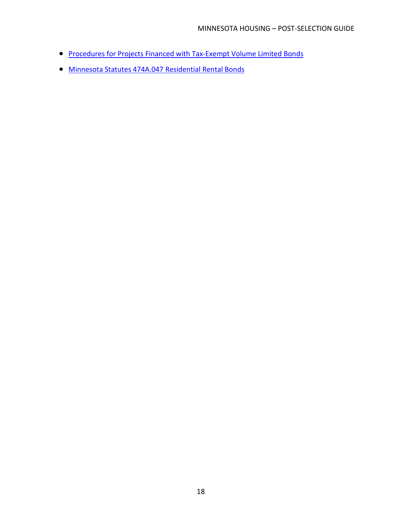- [Procedures for Projects Financed with Tax-Exempt Volume Limited Bonds](https://www.mnhousing.gov/get/MHFA_006163)
- [Minnesota Statutes 474A.047 Residential Rental Bonds](https://www.revisor.mn.gov/statutes/?id=474A.047)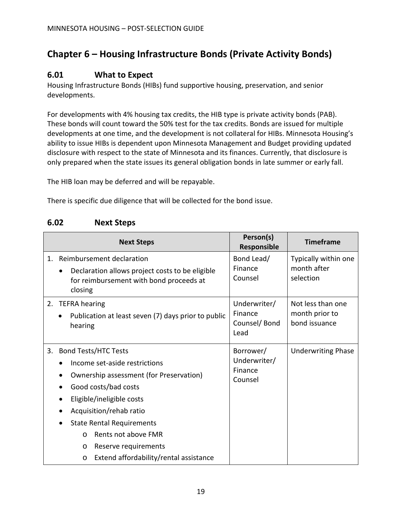# <span id="page-20-0"></span>**Chapter 6 – Housing Infrastructure Bonds (Private Activity Bonds)**

### <span id="page-20-1"></span>**6.01 What to Expect**

Housing Infrastructure Bonds (HIBs) fund supportive housing, preservation, and senior developments.

For developments with 4% housing tax credits, the HIB type is private activity bonds (PAB). These bonds will count toward the 50% test for the tax credits. Bonds are issued for multiple developments at one time, and the development is not collateral for HIBs. Minnesota Housing's ability to issue HIBs is dependent upon Minnesota Management and Budget providing updated disclosure with respect to the state of Minnesota and its finances. Currently, that disclosure is only prepared when the state issues its general obligation bonds in late summer or early fall.

The HIB loan may be deferred and will be repayable.

There is specific due diligence that will be collected for the bond issue.

### <span id="page-20-2"></span>**6.02 Next Steps**

|                | <b>Next Steps</b>                                                                                                                                                                                                                                                                                                                                      | Person(s)<br>Responsible                        | <b>Timeframe</b>                                     |
|----------------|--------------------------------------------------------------------------------------------------------------------------------------------------------------------------------------------------------------------------------------------------------------------------------------------------------------------------------------------------------|-------------------------------------------------|------------------------------------------------------|
| 1 <sub>1</sub> | Reimbursement declaration<br>Declaration allows project costs to be eligible<br>$\bullet$<br>for reimbursement with bond proceeds at<br>closing                                                                                                                                                                                                        | Bond Lead/<br>Finance<br>Counsel                | Typically within one<br>month after<br>selection     |
| 2.             | <b>TEFRA</b> hearing<br>Publication at least seven (7) days prior to public<br>hearing                                                                                                                                                                                                                                                                 | Underwriter/<br>Finance<br>Counsel/Bond<br>Lead | Not less than one<br>month prior to<br>bond issuance |
| 3.             | <b>Bond Tests/HTC Tests</b><br>Income set-aside restrictions<br>Ownership assessment (for Preservation)<br>Good costs/bad costs<br>Eligible/ineligible costs<br>Acquisition/rehab ratio<br><b>State Rental Requirements</b><br>Rents not above FMR<br>$\Omega$<br>Reserve requirements<br>$\circ$<br>Extend affordability/rental assistance<br>$\circ$ | Borrower/<br>Underwriter/<br>Finance<br>Counsel | <b>Underwriting Phase</b>                            |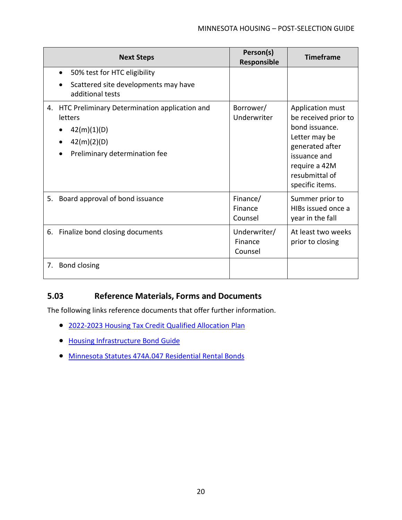|    | <b>Next Steps</b>                                                                                                          | Person(s)<br>Responsible           | <b>Timeframe</b>                                                                                                                                                     |
|----|----------------------------------------------------------------------------------------------------------------------------|------------------------------------|----------------------------------------------------------------------------------------------------------------------------------------------------------------------|
|    | 50% test for HTC eligibility<br>$\bullet$<br>Scattered site developments may have<br>additional tests                      |                                    |                                                                                                                                                                      |
|    | 4. HTC Preliminary Determination application and<br>letters<br>42(m)(1)(D)<br>42(m)(2)(D)<br>Preliminary determination fee | Borrower/<br>Underwriter           | Application must<br>be received prior to<br>bond issuance.<br>Letter may be<br>generated after<br>issuance and<br>require a 42M<br>resubmittal of<br>specific items. |
| 5. | Board approval of bond issuance                                                                                            | Finance/<br>Finance<br>Counsel     | Summer prior to<br>HIBs issued once a<br>year in the fall                                                                                                            |
|    | 6. Finalize bond closing documents                                                                                         | Underwriter/<br>Finance<br>Counsel | At least two weeks<br>prior to closing                                                                                                                               |
| 7. | Bond closing                                                                                                               |                                    |                                                                                                                                                                      |

### <span id="page-21-0"></span>**5.03 Reference Materials, Forms and Documents**

- 2022-2023 [Housing Tax Credit Qualified Allocation Plan](https://www.mnhousing.gov/get/MHFA_238915)
- [Housing Infrastructure Bond Guide](https://www.mnhousing.gov/get/MHFA_191203)
- [Minnesota Statutes 474A.047 Residential Rental Bonds](https://www.revisor.mn.gov/statutes/?id=474A.047)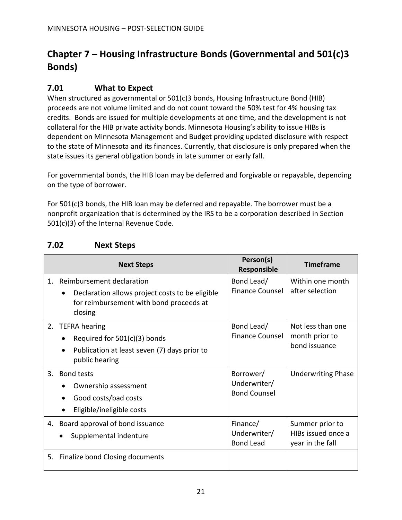# <span id="page-22-0"></span>**Chapter 7 – Housing Infrastructure Bonds (Governmental and 501(c)3 Bonds)**

### <span id="page-22-1"></span>**7.01 What to Expect**

When structured as governmental or 501(c)3 bonds, Housing Infrastructure Bond (HIB) proceeds are not volume limited and do not count toward the 50% test for 4% housing tax credits. Bonds are issued for multiple developments at one time, and the development is not collateral for the HIB private activity bonds. Minnesota Housing's ability to issue HIBs is dependent on Minnesota Management and Budget providing updated disclosure with respect to the state of Minnesota and its finances. Currently, that disclosure is only prepared when the state issues its general obligation bonds in late summer or early fall.

For governmental bonds, the HIB loan may be deferred and forgivable or repayable, depending on the type of borrower.

For 501(c)3 bonds, the HIB loan may be deferred and repayable. The borrower must be a nonprofit organization that is determined by the IRS to be a corporation described in Section 501(c)(3) of the Internal Revenue Code.

|    | <b>Next Steps</b>                                                                                                                  | Person(s)<br>Responsible                         | <b>Timeframe</b>                                          |
|----|------------------------------------------------------------------------------------------------------------------------------------|--------------------------------------------------|-----------------------------------------------------------|
| 1. | Reimbursement declaration<br>Declaration allows project costs to be eligible<br>for reimbursement with bond proceeds at<br>closing | Bond Lead/<br><b>Finance Counsel</b>             | Within one month<br>after selection                       |
| 2. | <b>TEFRA</b> hearing<br>Required for $501(c)(3)$ bonds<br>Publication at least seven (7) days prior to<br>public hearing           | Bond Lead/<br><b>Finance Counsel</b>             | Not less than one<br>month prior to<br>bond issuance      |
| 3. | <b>Bond tests</b><br>Ownership assessment<br>Good costs/bad costs<br>Eligible/ineligible costs                                     | Borrower/<br>Underwriter/<br><b>Bond Counsel</b> | <b>Underwriting Phase</b>                                 |
| 4. | Board approval of bond issuance<br>Supplemental indenture                                                                          | Finance/<br>Underwriter/<br><b>Bond Lead</b>     | Summer prior to<br>HIBs issued once a<br>year in the fall |
| 5. | Finalize bond Closing documents                                                                                                    |                                                  |                                                           |

### <span id="page-22-2"></span>**7.02 Next Steps**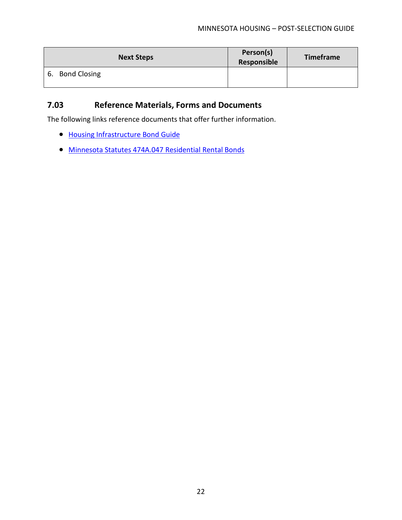| <b>Next Steps</b>         | Person(s)<br>Responsible | <b>Timeframe</b> |
|---------------------------|--------------------------|------------------|
| <b>Bond Closing</b><br>6. |                          |                  |

### <span id="page-23-0"></span>**7.03 Reference Materials, Forms and Documents**

- [Housing Infrastructure Bond Guide](https://www.mnhousing.gov/get/MHFA_191203)
- [Minnesota Statutes 474A.047 Residential Rental Bonds](https://www.revisor.mn.gov/statutes/?id=474A.047)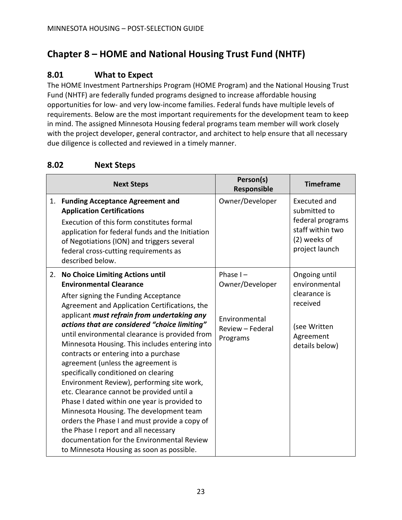# <span id="page-24-0"></span>**Chapter 8 – HOME and National Housing Trust Fund (NHTF)**

### <span id="page-24-1"></span>**8.01 What to Expect**

The HOME Investment Partnerships Program (HOME Program) and the National Housing Trust Fund (NHTF) are federally funded programs designed to increase affordable housing opportunities for low- and very low-income families. Federal funds have multiple levels of requirements. Below are the most important requirements for the development team to keep in mind. The assigned Minnesota Housing federal programs team member will work closely with the project developer, general contractor, and architect to help ensure that all necessary due diligence is collected and reviewed in a timely manner.

### <span id="page-24-2"></span>**8.02 Next Steps**

|    | <b>Next Steps</b>                                                                                                                                                                                                                                                                                                                                                                                                                                                                                                                                                                                                                                                                                                                    | Person(s)<br>Responsible                                                        | <b>Timeframe</b>                                                                                          |
|----|--------------------------------------------------------------------------------------------------------------------------------------------------------------------------------------------------------------------------------------------------------------------------------------------------------------------------------------------------------------------------------------------------------------------------------------------------------------------------------------------------------------------------------------------------------------------------------------------------------------------------------------------------------------------------------------------------------------------------------------|---------------------------------------------------------------------------------|-----------------------------------------------------------------------------------------------------------|
| 1. | <b>Funding Acceptance Agreement and</b><br><b>Application Certifications</b><br>Execution of this form constitutes formal<br>application for federal funds and the Initiation<br>of Negotiations (ION) and triggers several<br>federal cross-cutting requirements as<br>described below.                                                                                                                                                                                                                                                                                                                                                                                                                                             | Owner/Developer                                                                 | Executed and<br>submitted to<br>federal programs<br>staff within two<br>(2) weeks of<br>project launch    |
| 2. | <b>No Choice Limiting Actions until</b><br><b>Environmental Clearance</b><br>After signing the Funding Acceptance<br>Agreement and Application Certifications, the<br>applicant must refrain from undertaking any<br>actions that are considered "choice limiting"<br>until environmental clearance is provided from<br>Minnesota Housing. This includes entering into<br>contracts or entering into a purchase<br>agreement (unless the agreement is<br>specifically conditioned on clearing<br>Environment Review), performing site work,<br>etc. Clearance cannot be provided until a<br>Phase I dated within one year is provided to<br>Minnesota Housing. The development team<br>orders the Phase I and must provide a copy of | Phase $I -$<br>Owner/Developer<br>Environmental<br>Review - Federal<br>Programs | Ongoing until<br>environmental<br>clearance is<br>received<br>(see Written<br>Agreement<br>details below) |
|    | the Phase I report and all necessary<br>documentation for the Environmental Review<br>to Minnesota Housing as soon as possible.                                                                                                                                                                                                                                                                                                                                                                                                                                                                                                                                                                                                      |                                                                                 |                                                                                                           |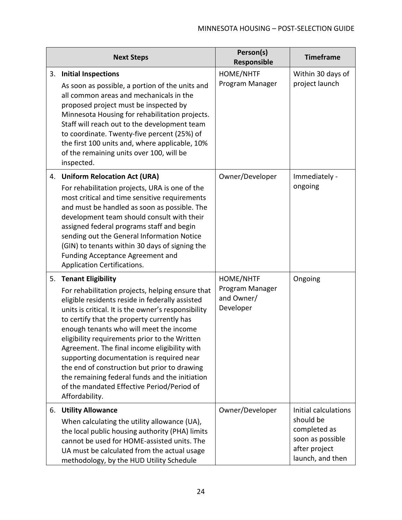|    | <b>Next Steps</b>                                                                                                                                                                                                                                                                                                                                                                                                                                                                                                                                                                                | Person(s)<br>Responsible                                | <b>Timeframe</b>                                                                                           |
|----|--------------------------------------------------------------------------------------------------------------------------------------------------------------------------------------------------------------------------------------------------------------------------------------------------------------------------------------------------------------------------------------------------------------------------------------------------------------------------------------------------------------------------------------------------------------------------------------------------|---------------------------------------------------------|------------------------------------------------------------------------------------------------------------|
| 3. | <b>Initial Inspections</b><br>As soon as possible, a portion of the units and<br>all common areas and mechanicals in the<br>proposed project must be inspected by<br>Minnesota Housing for rehabilitation projects.<br>Staff will reach out to the development team<br>to coordinate. Twenty-five percent (25%) of<br>the first 100 units and, where applicable, 10%<br>of the remaining units over 100, will be<br>inspected.                                                                                                                                                                   | HOME/NHTF<br>Program Manager                            | Within 30 days of<br>project launch                                                                        |
| 4. | <b>Uniform Relocation Act (URA)</b><br>For rehabilitation projects, URA is one of the<br>most critical and time sensitive requirements<br>and must be handled as soon as possible. The<br>development team should consult with their<br>assigned federal programs staff and begin<br>sending out the General Information Notice<br>(GIN) to tenants within 30 days of signing the<br><b>Funding Acceptance Agreement and</b><br>Application Certifications.                                                                                                                                      | Owner/Developer                                         | Immediately -<br>ongoing                                                                                   |
| 5. | <b>Tenant Eligibility</b><br>For rehabilitation projects, helping ensure that<br>eligible residents reside in federally assisted<br>units is critical. It is the owner's responsibility<br>to certify that the property currently has<br>enough tenants who will meet the income<br>eligibility requirements prior to the Written<br>Agreement. The final income eligibility with<br>supporting documentation is required near<br>the end of construction but prior to drawing<br>the remaining federal funds and the initiation<br>of the mandated Effective Period/Period of<br>Affordability. | HOME/NHTF<br>Program Manager<br>and Owner/<br>Developer | Ongoing                                                                                                    |
| 6. | <b>Utility Allowance</b><br>When calculating the utility allowance (UA),<br>the local public housing authority (PHA) limits<br>cannot be used for HOME-assisted units. The<br>UA must be calculated from the actual usage<br>methodology, by the HUD Utility Schedule                                                                                                                                                                                                                                                                                                                            | Owner/Developer                                         | Initial calculations<br>should be<br>completed as<br>soon as possible<br>after project<br>launch, and then |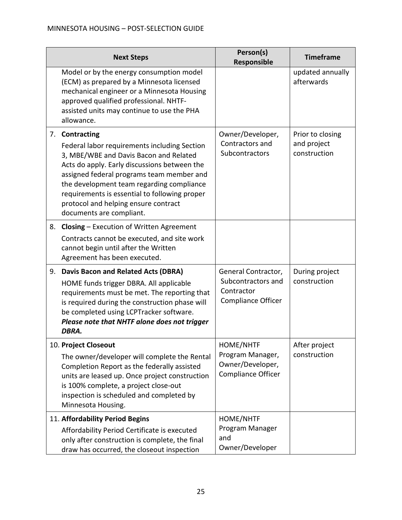|    | <b>Next Steps</b>                                                                                                                                                                                                                                                                                                                                                       | Person(s)<br>Responsible                                                      | <b>Timeframe</b>                                |
|----|-------------------------------------------------------------------------------------------------------------------------------------------------------------------------------------------------------------------------------------------------------------------------------------------------------------------------------------------------------------------------|-------------------------------------------------------------------------------|-------------------------------------------------|
|    | Model or by the energy consumption model<br>(ECM) as prepared by a Minnesota licensed<br>mechanical engineer or a Minnesota Housing<br>approved qualified professional. NHTF-<br>assisted units may continue to use the PHA<br>allowance.                                                                                                                               |                                                                               | updated annually<br>afterwards                  |
|    | 7. Contracting<br>Federal labor requirements including Section<br>3, MBE/WBE and Davis Bacon and Related<br>Acts do apply. Early discussions between the<br>assigned federal programs team member and<br>the development team regarding compliance<br>requirements is essential to following proper<br>protocol and helping ensure contract<br>documents are compliant. | Owner/Developer,<br>Contractors and<br>Subcontractors                         | Prior to closing<br>and project<br>construction |
| 8. | <b>Closing - Execution of Written Agreement</b><br>Contracts cannot be executed, and site work<br>cannot begin until after the Written<br>Agreement has been executed.                                                                                                                                                                                                  |                                                                               |                                                 |
| 9. | <b>Davis Bacon and Related Acts (DBRA)</b><br>HOME funds trigger DBRA. All applicable<br>requirements must be met. The reporting that<br>is required during the construction phase will<br>be completed using LCPTracker software.<br>Please note that NHTF alone does not trigger<br>DBRA.                                                                             | General Contractor,<br>Subcontractors and<br>Contractor<br>Compliance Officer | During project<br>construction                  |
|    | 10. Project Closeout<br>The owner/developer will complete the Rental<br>Completion Report as the federally assisted<br>units are leased up. Once project construction<br>is 100% complete, a project close-out<br>inspection is scheduled and completed by<br>Minnesota Housing.                                                                                        | HOME/NHTF<br>Program Manager,<br>Owner/Developer,<br>Compliance Officer       | After project<br>construction                   |
|    | 11. Affordability Period Begins<br>Affordability Period Certificate is executed<br>only after construction is complete, the final<br>draw has occurred, the closeout inspection                                                                                                                                                                                         | HOME/NHTF<br>Program Manager<br>and<br>Owner/Developer                        |                                                 |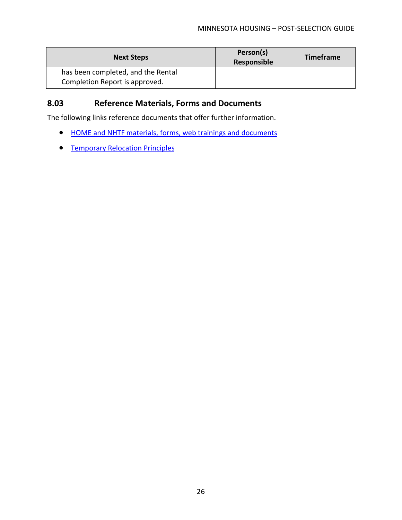| <b>Next Steps</b>                  | Person(s)<br>Responsible | <b>Timeframe</b> |
|------------------------------------|--------------------------|------------------|
| has been completed, and the Rental |                          |                  |
| Completion Report is approved.     |                          |                  |

### <span id="page-27-0"></span>**8.03 Reference Materials, Forms and Documents**

- [HOME and NHTF materials, forms, web trainings and documents](https://www.mnhousing.gov/sites/multifamily/postselection/homenhtf)
- **[Temporary Relocation Principles](https://www.mnhousing.gov/get/MHFA_247797)**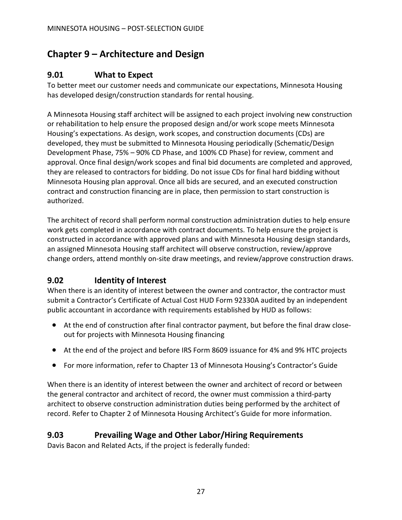# <span id="page-28-0"></span>**Chapter 9 – Architecture and Design**

### <span id="page-28-1"></span>**9.01 What to Expect**

To better meet our customer needs and communicate our expectations, Minnesota Housing has developed design/construction standards for rental housing.

A Minnesota Housing staff architect will be assigned to each project involving new construction or rehabilitation to help ensure the proposed design and/or work scope meets Minnesota Housing's expectations. As design, work scopes, and construction documents (CDs) are developed, they must be submitted to Minnesota Housing periodically (Schematic/Design Development Phase, 75% – 90% CD Phase, and 100% CD Phase) for review, comment and approval. Once final design/work scopes and final bid documents are completed and approved, they are released to contractors for bidding. Do not issue CDs for final hard bidding without Minnesota Housing plan approval. Once all bids are secured, and an executed construction contract and construction financing are in place, then permission to start construction is authorized.

The architect of record shall perform normal construction administration duties to help ensure work gets completed in accordance with contract documents. To help ensure the project is constructed in accordance with approved plans and with Minnesota Housing design standards, an assigned Minnesota Housing staff architect will observe construction, review/approve change orders, attend monthly on-site draw meetings, and review/approve construction draws.

## <span id="page-28-2"></span>**9.02 Identity of Interest**

When there is an identity of interest between the owner and contractor, the contractor must submit a Contractor's Certificate of Actual Cost HUD Form 92330A audited by an independent public accountant in accordance with requirements established by HUD as follows:

- At the end of construction after final contractor payment, but before the final draw closeout for projects with Minnesota Housing financing
- At the end of the project and before IRS Form 8609 issuance for 4% and 9% HTC projects
- For more information, refer to Chapter 13 of Minnesota Housing's Contractor's Guide

When there is an identity of interest between the owner and architect of record or between the general contractor and architect of record, the owner must commission a third-party architect to observe construction administration duties being performed by the architect of record. Refer to Chapter 2 of Minnesota Housing Architect's Guide for more information.

### <span id="page-28-3"></span>**9.03 Prevailing Wage and Other Labor/Hiring Requirements**

Davis Bacon and Related Acts, if the project is federally funded: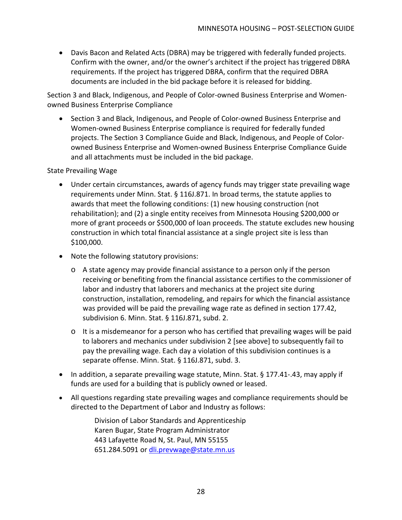• Davis Bacon and Related Acts (DBRA) may be triggered with federally funded projects. Confirm with the owner, and/or the owner's architect if the project has triggered DBRA requirements. If the project has triggered DBRA, confirm that the required DBRA documents are included in the bid package before it is released for bidding.

Section 3 and Black, Indigenous, and People of Color-owned Business Enterprise and Womenowned Business Enterprise Compliance

• Section 3 and Black, Indigenous, and People of Color-owned Business Enterprise and Women-owned Business Enterprise compliance is required for federally funded projects. The Section 3 Compliance Guide and Black, Indigenous, and People of Colorowned Business Enterprise and Women-owned Business Enterprise Compliance Guide and all attachments must be included in the bid package.

#### State Prevailing Wage

- Under certain circumstances, awards of agency funds may trigger state prevailing wage requirements under Minn. Stat. § 116J.871. In broad terms, the statute applies to awards that meet the following conditions: (1) new housing construction (not rehabilitation); and (2) a single entity receives from Minnesota Housing \$200,000 or more of grant proceeds or \$500,000 of loan proceeds. The statute excludes new housing construction in which total financial assistance at a single project site is less than \$100,000.
- Note the following statutory provisions:
	- o A state agency may provide financial assistance to a person only if the person receiving or benefiting from the financial assistance certifies to the commissioner of labor and industry that laborers and mechanics at the project site during construction, installation, remodeling, and repairs for which the financial assistance was provided will be paid the prevailing wage rate as defined in section 177.42, subdivision 6. Minn. Stat. § 116J.871, subd. 2.
	- o It is a misdemeanor for a person who has certified that prevailing wages will be paid to laborers and mechanics under subdivision 2 [see above] to subsequently fail to pay the prevailing wage. Each day a violation of this subdivision continues is a separate offense. Minn. Stat. § 116J.871, subd. 3.
- In addition, a separate prevailing wage statute, Minn. Stat. § 177.41-.43, may apply if funds are used for a building that is publicly owned or leased.
- All questions regarding state prevailing wages and compliance requirements should be directed to the Department of Labor and Industry as follows:

Division of Labor Standards and Apprenticeship Karen Bugar, State Program Administrator 443 Lafayette Road N, St. Paul, MN 55155 651.284.5091 or [dli.prevwage@state.mn.us](mailto:dli.prevwage@state.mn.us)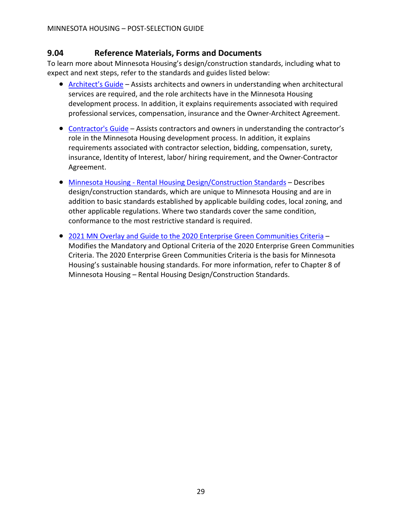### <span id="page-30-0"></span>**9.04 Reference Materials, Forms and Documents**

To learn more about Minnesota Housing's design/construction standards, including what to expect and next steps, refer to the standards and guides listed below:

- [Architect's Guide](https://www.mnhousing.gov/sites/multifamily/buildingstandards) Assists architects and owners in understanding when architectural services are required, and the role architects have in the Minnesota Housing development process. In addition, it explains requirements associated with required professional services, compensation, insurance and the Owner-Architect Agreement.
- [Contractor's Guide](https://www.mnhousing.gov/sites/multifamily/buildingstandards) Assists contractors and owners in understanding the contractor's role in the Minnesota Housing development process. In addition, it explains requirements associated with contractor selection, bidding, compensation, surety, insurance, Identity of Interest, labor/ hiring requirement, and the Owner-Contractor Agreement.
- Minnesota Housing [Rental Housing Design/Construction Standards](https://www.mnhousing.gov/sites/multifamily/buildingstandards) Describes design/construction standards, which are unique to Minnesota Housing and are in addition to basic standards established by applicable building codes, local zoning, and other applicable regulations. Where two standards cover the same condition, conformance to the most restrictive standard is required.
- 2021 MN Overlay and Guide to the 2020 [Enterprise Green Communities Criteria](https://www.mnhousing.gov/sites/multifamily/buildingstandards) Modifies the Mandatory and Optional Criteria of the 2020 Enterprise Green Communities Criteria. The 2020 Enterprise Green Communities Criteria is the basis for Minnesota Housing's sustainable housing standards. For more information, refer to Chapter 8 of Minnesota Housing – Rental Housing Design/Construction Standards.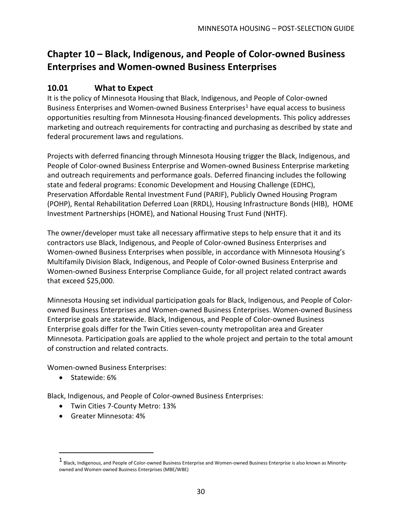# <span id="page-31-0"></span>**Chapter 10 – Black, Indigenous, and People of Color-owned Business Enterprises and Women-owned Business Enterprises**

### <span id="page-31-1"></span>**10.01 What to Expect**

It is the policy of Minnesota Housing that Black, Indigenous, and People of Color-owned Business Enterprises and Women-owned Business Enterprises<sup>[1](#page-31-2)</sup> have equal access to business opportunities resulting from Minnesota Housing-financed developments. This policy addresses marketing and outreach requirements for contracting and purchasing as described by state and federal procurement laws and regulations.

Projects with deferred financing through Minnesota Housing trigger the Black, Indigenous, and People of Color-owned Business Enterprise and Women-owned Business Enterprise marketing and outreach requirements and performance goals. Deferred financing includes the following state and federal programs: Economic Development and Housing Challenge (EDHC), Preservation Affordable Rental Investment Fund (PARIF), Publicly Owned Housing Program (POHP), Rental Rehabilitation Deferred Loan (RRDL), Housing Infrastructure Bonds (HIB), HOME Investment Partnerships (HOME), and National Housing Trust Fund (NHTF).

The owner/developer must take all necessary affirmative steps to help ensure that it and its contractors use Black, Indigenous, and People of Color-owned Business Enterprises and Women-owned Business Enterprises when possible, in accordance with Minnesota Housing's Multifamily Division Black, Indigenous, and People of Color-owned Business Enterprise and Women-owned Business Enterprise Compliance Guide, for all project related contract awards that exceed \$25,000.

Minnesota Housing set individual participation goals for Black, Indigenous, and People of Colorowned Business Enterprises and Women-owned Business Enterprises. Women-owned Business Enterprise goals are statewide. Black, Indigenous, and People of Color-owned Business Enterprise goals differ for the Twin Cities seven-county metropolitan area and Greater Minnesota. Participation goals are applied to the whole project and pertain to the total amount of construction and related contracts.

Women-owned Business Enterprises:

• Statewide: 6%

Black, Indigenous, and People of Color-owned Business Enterprises:

- Twin Cities 7-County Metro: 13%
- Greater Minnesota: 4%

<span id="page-31-2"></span><sup>1</sup> Black, Indigenous, and People of Color-owned Business Enterprise and Women-owned Business Enterprise is also known as Minorityowned and Women-owned Business Enterprises (MBE/WBE)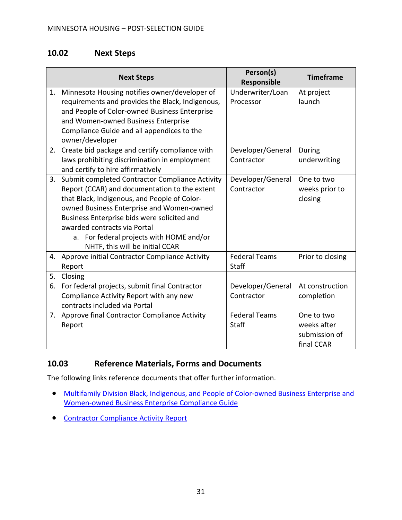### <span id="page-32-0"></span>**10.02 Next Steps**

|    | <b>Next Steps</b>                                                                                                                    | Person(s)<br>Responsible        | <b>Timeframe</b>                                         |
|----|--------------------------------------------------------------------------------------------------------------------------------------|---------------------------------|----------------------------------------------------------|
| 1. | Minnesota Housing notifies owner/developer of<br>requirements and provides the Black, Indigenous,                                    | Underwriter/Loan<br>Processor   | At project<br>launch                                     |
|    | and People of Color-owned Business Enterprise<br>and Women-owned Business Enterprise                                                 |                                 |                                                          |
|    | Compliance Guide and all appendices to the<br>owner/developer                                                                        |                                 |                                                          |
| 2. | Create bid package and certify compliance with<br>laws prohibiting discrimination in employment<br>and certify to hire affirmatively | Developer/General<br>Contractor | During<br>underwriting                                   |
| 3. | Submit completed Contractor Compliance Activity                                                                                      | Developer/General               | One to two                                               |
|    | Report (CCAR) and documentation to the extent                                                                                        | Contractor                      | weeks prior to                                           |
|    | that Black, Indigenous, and People of Color-                                                                                         |                                 | closing                                                  |
|    | owned Business Enterprise and Women-owned<br>Business Enterprise bids were solicited and                                             |                                 |                                                          |
|    | awarded contracts via Portal                                                                                                         |                                 |                                                          |
|    | a. For federal projects with HOME and/or                                                                                             |                                 |                                                          |
|    | NHTF, this will be initial CCAR                                                                                                      |                                 |                                                          |
| 4. | Approve initial Contractor Compliance Activity<br>Report                                                                             | <b>Federal Teams</b><br>Staff   | Prior to closing                                         |
| 5. | Closing                                                                                                                              |                                 |                                                          |
| 6. | For federal projects, submit final Contractor                                                                                        | Developer/General               | At construction                                          |
|    | Compliance Activity Report with any new<br>contracts included via Portal                                                             | Contractor                      | completion                                               |
| 7. | Approve final Contractor Compliance Activity<br>Report                                                                               | <b>Federal Teams</b><br>Staff   | One to two<br>weeks after<br>submission of<br>final CCAR |

### <span id="page-32-1"></span>**10.03 Reference Materials, Forms and Documents**

- [Multifamily Division Black, Indigenous, and People of Color-owned Business Enterprise and](https://www.mnhousing.gov/get/MHFA_1040662)  [Women-owned Business Enterprise Compliance Guide](https://www.mnhousing.gov/get/MHFA_1040662)
- [Contractor Compliance Activity Report](https://www.mnhousing.gov/download/MHFA_238507)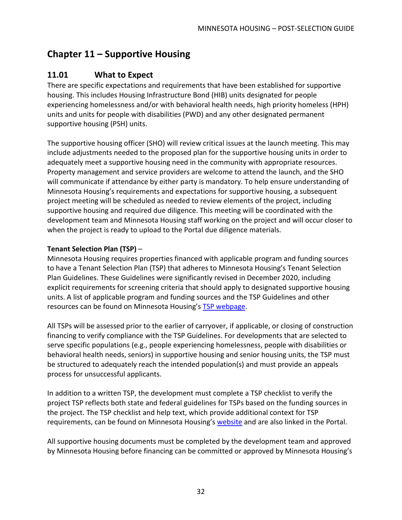# <span id="page-33-0"></span>**Chapter 11 – Supportive Housing**

### <span id="page-33-1"></span>**11.01 What to Expect**

There are specific expectations and requirements that have been established for supportive housing. This includes Housing Infrastructure Bond (HIB) units designated for people experiencing homelessness and/or with behavioral health needs, high priority homeless (HPH) units and units for people with disabilities (PWD) and any other designated permanent supportive housing (PSH) units.

The supportive housing officer (SHO) will review critical issues at the launch meeting. This may include adjustments needed to the proposed plan for the supportive housing units in order to adequately meet a supportive housing need in the community with appropriate resources. Property management and service providers are welcome to attend the launch, and the SHO will communicate if attendance by either party is mandatory. To help ensure understanding of Minnesota Housing's requirements and expectations for supportive housing, a subsequent project meeting will be scheduled as needed to review elements of the project, including supportive housing and required due diligence. This meeting will be coordinated with the development team and Minnesota Housing staff working on the project and will occur closer to when the project is ready to upload to the Portal due diligence materials.

### **Tenant Selection Plan (TSP)** –

Minnesota Housing requires properties financed with applicable program and funding sources to have a Tenant Selection Plan (TSP) that adheres to Minnesota Housing's Tenant Selection Plan Guidelines. These Guidelines were significantly revised in December 2020, including explicit requirements for screening criteria that should apply to designated supportive housing units. A list of applicable program and funding sources and the TSP Guidelines and other resources can be found on Minnesota Housing's **TSP webpage**.

All TSPs will be assessed prior to the earlier of carryover, if applicable, or closing of construction financing to verify compliance with the TSP Guidelines. For developments that are selected to serve specific populations (e.g., people experiencing homelessness, people with disabilities or behavioral health needs, seniors) in supportive housing and senior housing units, the TSP must be structured to adequately reach the intended population(s) and must provide an appeals process for unsuccessful applicants.

In addition to a written TSP, the development must complete a TSP checklist to verify the project TSP reflects both state and federal guidelines for TSPs based on the funding sources in the project. The TSP checklist and help text, which provide additional context for TSP requirements, can be found on Minnesota Housing'[s website](https://www.mnhousing.gov/sites/multifamily/tenantselectionplan) and are also linked in the Portal.

All supportive housing documents must be completed by the development team and approved by Minnesota Housing before financing can be committed or approved by Minnesota Housing's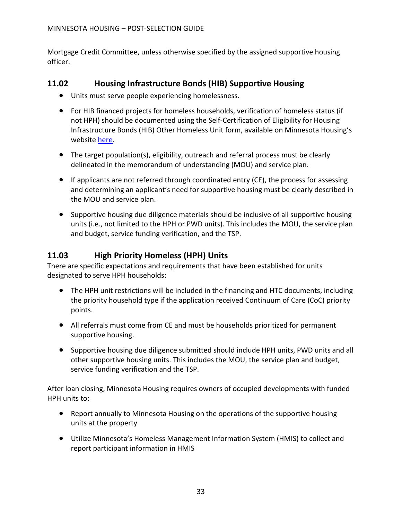Mortgage Credit Committee, unless otherwise specified by the assigned supportive housing officer.

### <span id="page-34-0"></span>**11.02 Housing Infrastructure Bonds (HIB) Supportive Housing**

- Units must serve people experiencing homelessness.
- For HIB financed projects for homeless households, verification of homeless status (if not HPH) should be documented using the Self-Certification of Eligibility for Housing Infrastructure Bonds (HIB) Other Homeless Unit form, available on Minnesota Housing's website [here.](https://www.mnhousing.gov/sites/multifamily/compliance)
- The target population(s), eligibility, outreach and referral process must be clearly delineated in the memorandum of understanding (MOU) and service plan.
- If applicants are not referred through coordinated entry (CE), the process for assessing and determining an applicant's need for supportive housing must be clearly described in the MOU and service plan.
- Supportive housing due diligence materials should be inclusive of all supportive housing units (i.e., not limited to the HPH or PWD units). This includes the MOU, the service plan and budget, service funding verification, and the TSP.

### <span id="page-34-1"></span>**11.03 High Priority Homeless (HPH) Units**

There are specific expectations and requirements that have been established for units designated to serve HPH households:

- The HPH unit restrictions will be included in the financing and HTC documents, including the priority household type if the application received Continuum of Care (CoC) priority points.
- All referrals must come from CE and must be households prioritized for permanent supportive housing.
- Supportive housing due diligence submitted should include HPH units, PWD units and all other supportive housing units. This includes the MOU, the service plan and budget, service funding verification and the TSP.

After loan closing, Minnesota Housing requires owners of occupied developments with funded HPH units to:

- Report annually to Minnesota Housing on the operations of the supportive housing units at the property
- Utilize Minnesota's Homeless Management Information System (HMIS) to collect and report participant information in HMIS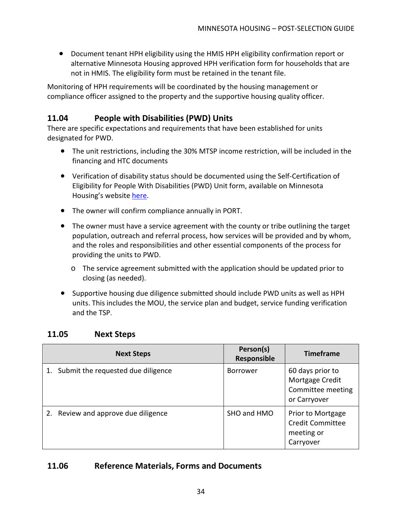• Document tenant HPH eligibility using the HMIS HPH eligibility confirmation report or alternative Minnesota Housing approved HPH verification form for households that are not in HMIS. The eligibility form must be retained in the tenant file.

Monitoring of HPH requirements will be coordinated by the housing management or compliance officer assigned to the property and the supportive housing quality officer.

### <span id="page-35-0"></span>**11.04 People with Disabilities (PWD) Units**

There are specific expectations and requirements that have been established for units designated for PWD.

- The unit restrictions, including the 30% MTSP income restriction, will be included in the financing and HTC documents
- Verification of disability status should be documented using the Self-Certification of Eligibility for People With Disabilities (PWD) Unit form, available on Minnesota Housing's website [here.](https://www.mnhousing.gov/sites/multifamily/compliance)
- The owner will confirm compliance annually in PORT.
- The owner must have a service agreement with the county or tribe outlining the target population, outreach and referral process, how services will be provided and by whom, and the roles and responsibilities and other essential components of the process for providing the units to PWD.
	- $\circ$  The service agreement submitted with the application should be updated prior to closing (as needed).
- Supportive housing due diligence submitted should include PWD units as well as HPH units. This includes the MOU, the service plan and budget, service funding verification and the TSP.

| <b>Next Steps</b>                     | Person(s)<br>Responsible | <b>Timeframe</b>                                                         |
|---------------------------------------|--------------------------|--------------------------------------------------------------------------|
| 1. Submit the requested due diligence | <b>Borrower</b>          | 60 days prior to<br>Mortgage Credit<br>Committee meeting<br>or Carryover |
| 2. Review and approve due diligence   | SHO and HMO              | Prior to Mortgage<br><b>Credit Committee</b><br>meeting or<br>Carryover  |

### <span id="page-35-1"></span>**11.05 Next Steps**

### <span id="page-35-2"></span>**11.06 Reference Materials, Forms and Documents**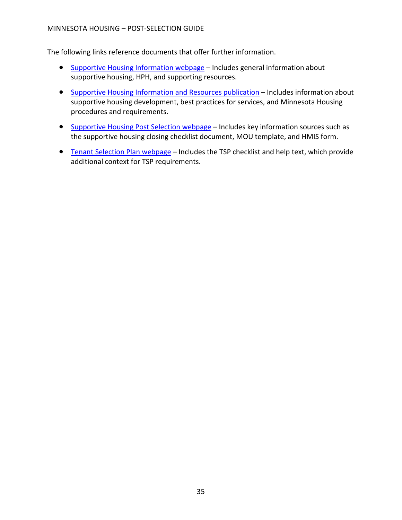- [Supportive Housing Information webpage](https://www.mnhousing.gov/sites/multifamily/supportivehousing) Includes general information about supportive housing, HPH, and supporting resources.
- [Supportive Housing Information and Resources publication](https://www.mnhousing.gov/get/MHFA_1043310) Includes information about supportive housing development, best practices for services, and Minnesota Housing procedures and requirements.
- [Supportive Housing Post Selection webpage](https://www.mnhousing.gov/sites/multifamily/postselection/supportivehousing) Includes key information sources such as the supportive housing closing checklist document, MOU template, and HMIS form.
- [Tenant Selection Plan webpage](https://www.mnhousing.gov/sites/multifamily/tenantselectionplan) Includes the TSP checklist and help text, which provide additional context for TSP requirements.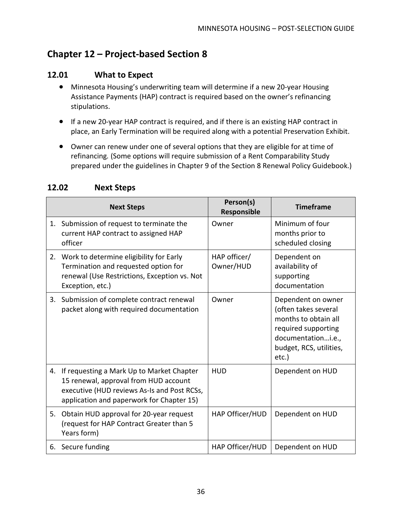# <span id="page-37-0"></span>**Chapter 12 – Project-based Section 8**

### <span id="page-37-1"></span>**12.01 What to Expect**

- Minnesota Housing's underwriting team will determine if a new 20-year Housing Assistance Payments (HAP) contract is required based on the owner's refinancing stipulations.
- If a new 20-year HAP contract is required, and if there is an existing HAP contract in place, an Early Termination will be required along with a potential Preservation Exhibit.
- Owner can renew under one of several options that they are eligible for at time of refinancing*.* (Some options will require submission of a Rent Comparability Study prepared under the guidelines in Chapter 9 of the Section 8 Renewal Policy Guidebook.)

|    | <b>Next Steps</b>                                                                                                                                                              | Person(s)<br>Responsible  | <b>Timeframe</b>                                                                                                                                       |
|----|--------------------------------------------------------------------------------------------------------------------------------------------------------------------------------|---------------------------|--------------------------------------------------------------------------------------------------------------------------------------------------------|
|    | 1. Submission of request to terminate the<br>current HAP contract to assigned HAP<br>officer                                                                                   | Owner                     | Minimum of four<br>months prior to<br>scheduled closing                                                                                                |
| 2. | Work to determine eligibility for Early<br>Termination and requested option for<br>renewal (Use Restrictions, Exception vs. Not<br>Exception, etc.)                            | HAP officer/<br>Owner/HUD | Dependent on<br>availability of<br>supporting<br>documentation                                                                                         |
| 3. | Submission of complete contract renewal<br>packet along with required documentation                                                                                            | Owner                     | Dependent on owner<br>(often takes several<br>months to obtain all<br>required supporting<br>documentationi.e.,<br>budget, RCS, utilities,<br>$etc.$ ) |
| 4. | If requesting a Mark Up to Market Chapter<br>15 renewal, approval from HUD account<br>executive (HUD reviews As-Is and Post RCSs,<br>application and paperwork for Chapter 15) | <b>HUD</b>                | Dependent on HUD                                                                                                                                       |
| 5. | Obtain HUD approval for 20-year request<br>(request for HAP Contract Greater than 5<br>Years form)                                                                             | HAP Officer/HUD           | Dependent on HUD                                                                                                                                       |
|    | 6. Secure funding                                                                                                                                                              | HAP Officer/HUD           | Dependent on HUD                                                                                                                                       |

### <span id="page-37-2"></span>**12.02 Next Steps**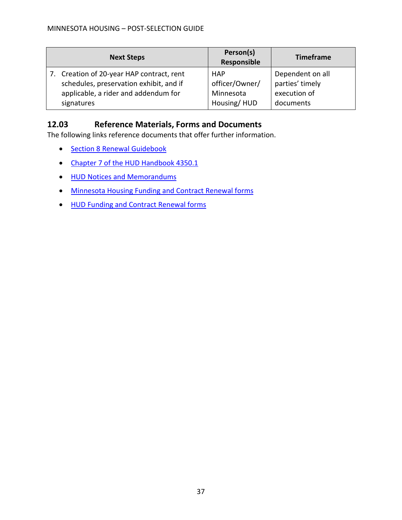| <b>Next Steps</b>                         | Person(s)<br>Responsible | <b>Timeframe</b> |
|-------------------------------------------|--------------------------|------------------|
| 7. Creation of 20-year HAP contract, rent | <b>HAP</b>               | Dependent on all |
| schedules, preservation exhibit, and if   | officer/Owner/           | parties' timely  |
| applicable, a rider and addendum for      | Minnesota                | execution of     |
| signatures                                | Housing/HUD              | documents        |

### <span id="page-38-0"></span>**12.03 Reference Materials, Forms and Documents**

- [Section 8 Renewal Guidebook](https://www.hud.gov/program_offices/housing/mfh/mfhsec8)
- [Chapter 7 of the HUD Handbook 4350.1](https://www.hud.gov/sites/documents/DOC_25304.PDF)
- [HUD Notices and Memorandums](https://www.federalregister.gov/)
- [Minnesota Housing Funding and Contract Renewal forms](https://www.mnhousing.gov/sites/multifamily/haprenewals)
- [HUD Funding and Contract Renewal forms](https://www.hud.gov/program_offices/administration/hudclips)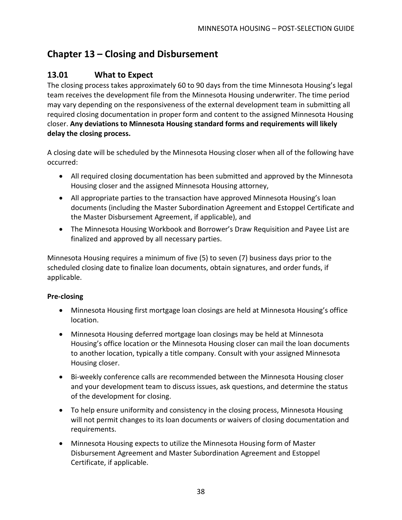# <span id="page-39-0"></span>**Chapter 13 – Closing and Disbursement**

### <span id="page-39-1"></span>**13.01 What to Expect**

The closing process takes approximately 60 to 90 days from the time Minnesota Housing's legal team receives the development file from the Minnesota Housing underwriter. The time period may vary depending on the responsiveness of the external development team in submitting all required closing documentation in proper form and content to the assigned Minnesota Housing closer. **Any deviations to Minnesota Housing standard forms and requirements will likely delay the closing process.**

A closing date will be scheduled by the Minnesota Housing closer when all of the following have occurred:

- All required closing documentation has been submitted and approved by the Minnesota Housing closer and the assigned Minnesota Housing attorney,
- All appropriate parties to the transaction have approved Minnesota Housing's loan documents (including the Master Subordination Agreement and Estoppel Certificate and the Master Disbursement Agreement, if applicable), and
- The Minnesota Housing Workbook and Borrower's Draw Requisition and Payee List are finalized and approved by all necessary parties.

Minnesota Housing requires a minimum of five (5) to seven (7) business days prior to the scheduled closing date to finalize loan documents, obtain signatures, and order funds, if applicable.

### **Pre-closing**

- Minnesota Housing first mortgage loan closings are held at Minnesota Housing's office location.
- Minnesota Housing deferred mortgage loan closings may be held at Minnesota Housing's office location or the Minnesota Housing closer can mail the loan documents to another location, typically a title company. Consult with your assigned Minnesota Housing closer.
- Bi-weekly conference calls are recommended between the Minnesota Housing closer and your development team to discuss issues, ask questions, and determine the status of the development for closing.
- To help ensure uniformity and consistency in the closing process, Minnesota Housing will not permit changes to its loan documents or waivers of closing documentation and requirements.
- Minnesota Housing expects to utilize the Minnesota Housing form of Master Disbursement Agreement and Master Subordination Agreement and Estoppel Certificate, if applicable.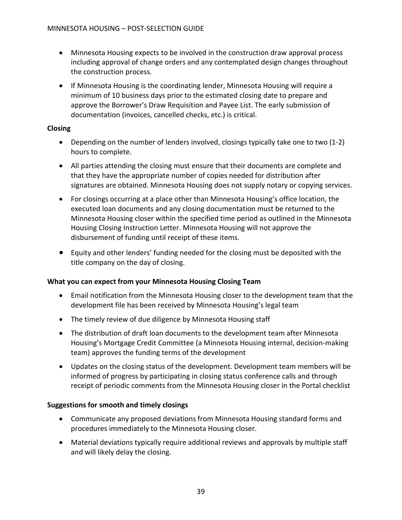- Minnesota Housing expects to be involved in the construction draw approval process including approval of change orders and any contemplated design changes throughout the construction process.
- If Minnesota Housing is the coordinating lender, Minnesota Housing will require a minimum of 10 business days prior to the estimated closing date to prepare and approve the Borrower's Draw Requisition and Payee List. The early submission of documentation (invoices, cancelled checks, etc.) is critical.

#### **Closing**

- Depending on the number of lenders involved, closings typically take one to two (1-2) hours to complete.
- All parties attending the closing must ensure that their documents are complete and that they have the appropriate number of copies needed for distribution after signatures are obtained. Minnesota Housing does not supply notary or copying services.
- For closings occurring at a place other than Minnesota Housing's office location, the executed loan documents and any closing documentation must be returned to the Minnesota Housing closer within the specified time period as outlined in the Minnesota Housing Closing Instruction Letter. Minnesota Housing will not approve the disbursement of funding until receipt of these items.
- Equity and other lenders' funding needed for the closing must be deposited with the title company on the day of closing.

#### **What you can expect from your Minnesota Housing Closing Team**

- Email notification from the Minnesota Housing closer to the development team that the development file has been received by Minnesota Housing's legal team
- The timely review of due diligence by Minnesota Housing staff
- The distribution of draft loan documents to the development team after Minnesota Housing's Mortgage Credit Committee (a Minnesota Housing internal, decision-making team) approves the funding terms of the development
- Updates on the closing status of the development. Development team members will be informed of progress by participating in closing status conference calls and through receipt of periodic comments from the Minnesota Housing closer in the Portal checklist

#### **Suggestions for smooth and timely closings**

- Communicate any proposed deviations from Minnesota Housing standard forms and procedures immediately to the Minnesota Housing closer.
- Material deviations typically require additional reviews and approvals by multiple staff and will likely delay the closing.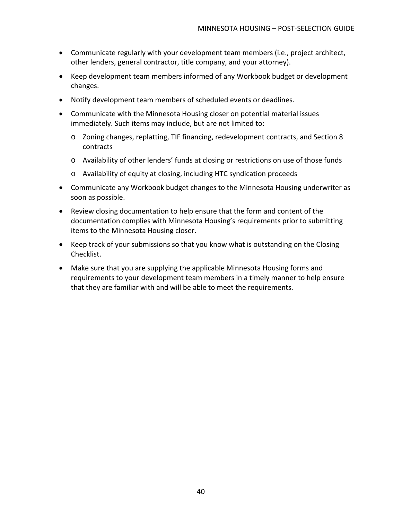- Communicate regularly with your development team members (i.e., project architect, other lenders, general contractor, title company, and your attorney).
- Keep development team members informed of any Workbook budget or development changes.
- Notify development team members of scheduled events or deadlines.
- Communicate with the Minnesota Housing closer on potential material issues immediately. Such items may include, but are not limited to:
	- o Zoning changes, replatting, TIF financing, redevelopment contracts, and Section 8 contracts
	- o Availability of other lenders' funds at closing or restrictions on use of those funds
	- o Availability of equity at closing, including HTC syndication proceeds
- Communicate any Workbook budget changes to the Minnesota Housing underwriter as soon as possible.
- Review closing documentation to help ensure that the form and content of the documentation complies with Minnesota Housing's requirements prior to submitting items to the Minnesota Housing closer.
- Keep track of your submissions so that you know what is outstanding on the Closing Checklist.
- Make sure that you are supplying the applicable Minnesota Housing forms and requirements to your development team members in a timely manner to help ensure that they are familiar with and will be able to meet the requirements.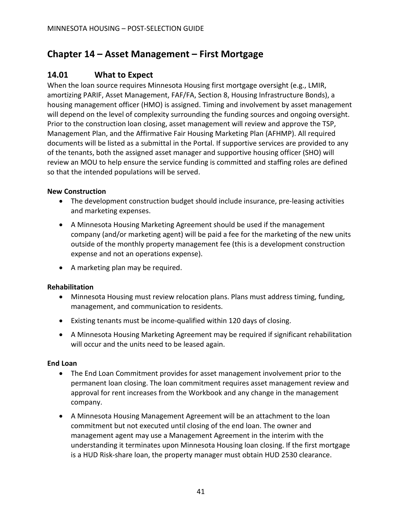# <span id="page-42-0"></span>**Chapter 14 – Asset Management – First Mortgage**

### <span id="page-42-1"></span>**14.01 What to Expect**

When the loan source requires Minnesota Housing first mortgage oversight (e.g., LMIR, amortizing PARIF, Asset Management, FAF/FA, Section 8, Housing Infrastructure Bonds), a housing management officer (HMO) is assigned. Timing and involvement by asset management will depend on the level of complexity surrounding the funding sources and ongoing oversight. Prior to the construction loan closing, asset management will review and approve the TSP, Management Plan, and the Affirmative Fair Housing Marketing Plan (AFHMP). All required documents will be listed as a submittal in the Portal. If supportive services are provided to any of the tenants, both the assigned asset manager and supportive housing officer (SHO) will review an MOU to help ensure the service funding is committed and staffing roles are defined so that the intended populations will be served.

#### **New Construction**

- The development construction budget should include insurance, pre-leasing activities and marketing expenses.
- A Minnesota Housing Marketing Agreement should be used if the management company (and/or marketing agent) will be paid a fee for the marketing of the new units outside of the monthly property management fee (this is a development construction expense and not an operations expense).
- A marketing plan may be required.

#### **Rehabilitation**

- Minnesota Housing must review relocation plans. Plans must address timing, funding, management, and communication to residents.
- Existing tenants must be income-qualified within 120 days of closing.
- A Minnesota Housing Marketing Agreement may be required if significant rehabilitation will occur and the units need to be leased again.

#### **End Loan**

- The End Loan Commitment provides for asset management involvement prior to the permanent loan closing. The loan commitment requires asset management review and approval for rent increases from the Workbook and any change in the management company.
- A Minnesota Housing Management Agreement will be an attachment to the loan commitment but not executed until closing of the end loan. The owner and management agent may use a Management Agreement in the interim with the understanding it terminates upon Minnesota Housing loan closing. If the first mortgage is a HUD Risk-share loan, the property manager must obtain HUD 2530 clearance.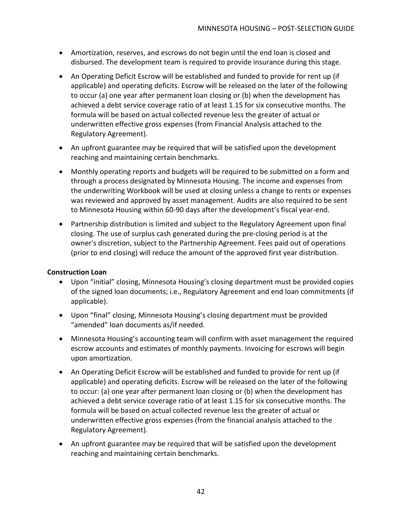- Amortization, reserves, and escrows do not begin until the end loan is closed and disbursed. The development team is required to provide insurance during this stage.
- An Operating Deficit Escrow will be established and funded to provide for rent up (if applicable) and operating deficits. Escrow will be released on the later of the following to occur (a) one year after permanent loan closing or (b) when the development has achieved a debt service coverage ratio of at least 1.15 for six consecutive months. The formula will be based on actual collected revenue less the greater of actual or underwritten effective gross expenses (from Financial Analysis attached to the Regulatory Agreement).
- An upfront guarantee may be required that will be satisfied upon the development reaching and maintaining certain benchmarks.
- Monthly operating reports and budgets will be required to be submitted on a form and through a process designated by Minnesota Housing. The income and expenses from the underwriting Workbook will be used at closing unless a change to rents or expenses was reviewed and approved by asset management. Audits are also required to be sent to Minnesota Housing within 60-90 days after the development's fiscal year-end.
- Partnership distribution is limited and subject to the Regulatory Agreement upon final closing. The use of surplus cash generated during the pre-closing period is at the owner's discretion, subject to the Partnership Agreement. Fees paid out of operations (prior to end closing) will reduce the amount of the approved first year distribution.

#### **Construction Loan**

- Upon "initial" closing, Minnesota Housing's closing department must be provided copies of the signed loan documents; i.e., Regulatory Agreement and end loan commitments (if applicable).
- Upon "final" closing, Minnesota Housing's closing department must be provided "amended" loan documents as/if needed.
- Minnesota Housing's accounting team will confirm with asset management the required escrow accounts and estimates of monthly payments. Invoicing for escrows will begin upon amortization.
- An Operating Deficit Escrow will be established and funded to provide for rent up (if applicable) and operating deficits. Escrow will be released on the later of the following to occur: (a) one year after permanent loan closing or (b) when the development has achieved a debt service coverage ratio of at least 1.15 for six consecutive months. The formula will be based on actual collected revenue less the greater of actual or underwritten effective gross expenses (from the financial analysis attached to the Regulatory Agreement).
- An upfront guarantee may be required that will be satisfied upon the development reaching and maintaining certain benchmarks.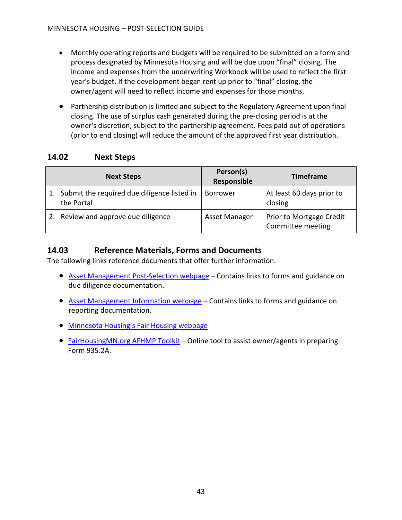- Monthly operating reports and budgets will be required to be submitted on a form and process designated by Minnesota Housing and will be due upon "final" closing. The income and expenses from the underwriting Workbook will be used to reflect the first year's budget. If the development began rent up prior to "final" closing, the owner/agent will need to reflect income and expenses for those months.
- Partnership distribution is limited and subject to the Regulatory Agreement upon final closing. The use of surplus cash generated during the pre-closing period is at the owner's discretion, subject to the partnership agreement. Fees paid out of operations (prior to end closing) will reduce the amount of the approved first year distribution.

### <span id="page-44-0"></span>**14.02 Next Steps**

| <b>Next Steps</b>                                         | Person(s)<br>Responsible | <b>Timeframe</b>                              |
|-----------------------------------------------------------|--------------------------|-----------------------------------------------|
| Submit the required due diligence listed in<br>the Portal | <b>Borrower</b>          | At least 60 days prior to<br>closing          |
| 2. Review and approve due diligence                       | Asset Manager            | Prior to Mortgage Credit<br>Committee meeting |

### <span id="page-44-1"></span>**14.03 Reference Materials, Forms and Documents**

- [Asset Management Post-Selection webpage](https://www.mnhousing.gov/sites/multifamily/postselection/developers) Contains links to forms and guidance on due diligence documentation.
- [Asset Management Information webpage](https://www.mnhousing.gov/sites/multifamily/assetmanagement) Contains links to forms and guidance on reporting documentation.
- [Minnesota Housing's Fair Housing webpage](https://www.mnhousing.gov/sites/np/fairhousing)
- [FairHousingMN.org AFHMP Toolkit](https://amtk.housinglink.org/login) Online tool to assist owner/agents in preparing Form 935.2A.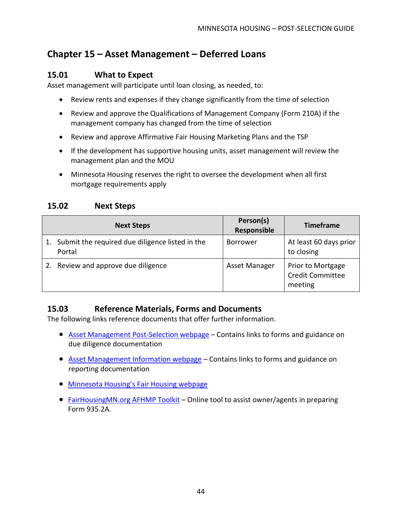# <span id="page-45-0"></span>**Chapter 15 – Asset Management – Deferred Loans**

### <span id="page-45-1"></span>**15.01 What to Expect**

Asset management will participate until loan closing, as needed, to:

- Review rents and expenses if they change significantly from the time of selection
- Review and approve the Qualifications of Management Company (Form 210A) if the management company has changed from the time of selection
- Review and approve Affirmative Fair Housing Marketing Plans and the TSP
- If the development has supportive housing units, asset management will review the management plan and the MOU
- Minnesota Housing reserves the right to oversee the development when all first mortgage requirements apply

### <span id="page-45-2"></span>**15.02 Next Steps**

| <b>Next Steps</b>                                            | Person(s)<br>Responsible | <b>Timeframe</b>                                        |
|--------------------------------------------------------------|--------------------------|---------------------------------------------------------|
| 1. Submit the required due diligence listed in the<br>Portal | <b>Borrower</b>          | At least 60 days prior<br>to closing                    |
| 2. Review and approve due diligence                          | Asset Manager            | Prior to Mortgage<br><b>Credit Committee</b><br>meeting |

### <span id="page-45-3"></span>**15.03 Reference Materials, Forms and Documents**

- [Asset Management Post-Selection webpage](https://www.mnhousing.gov/sites/multifamily/postselection/developers) Contains links to forms and guidance on due diligence documentation
- [Asset Management Information webpage](https://www.mnhousing.gov/sites/multifamily/assetmanagement) Contains links to forms and guidance on reporting documentation
- [Minnesota Housing's Fair Housing webpage](https://www.mnhousing.gov/sites/np/fairhousing)
- [FairHousingMN.org AFHMP Toolkit](https://amtk.housinglink.org/login) Online tool to assist owner/agents in preparing Form 935.2A.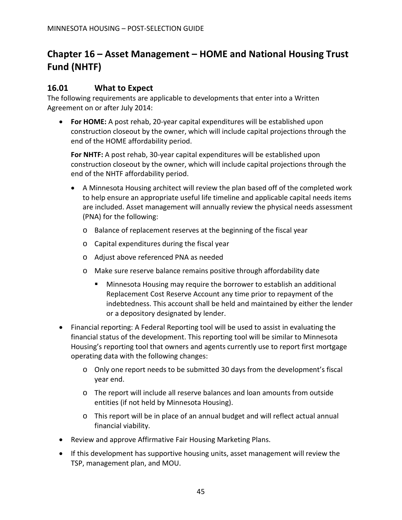# <span id="page-46-0"></span>**Chapter 16 – Asset Management – HOME and National Housing Trust Fund (NHTF)**

### <span id="page-46-1"></span>**16.01 What to Expect**

The following requirements are applicable to developments that enter into a Written Agreement on or after July 2014:

• **For HOME:** A post rehab, 20-year capital expenditures will be established upon construction closeout by the owner, which will include capital projections through the end of the HOME affordability period.

**For NHTF:** A post rehab, 30-year capital expenditures will be established upon construction closeout by the owner, which will include capital projections through the end of the NHTF affordability period.

- A Minnesota Housing architect will review the plan based off of the completed work to help ensure an appropriate useful life timeline and applicable capital needs items are included. Asset management will annually review the physical needs assessment (PNA) for the following:
	- o Balance of replacement reserves at the beginning of the fiscal year
	- o Capital expenditures during the fiscal year
	- o Adjust above referenced PNA as needed
	- o Make sure reserve balance remains positive through affordability date
		- **Minnesota Housing may require the borrower to establish an additional** Replacement Cost Reserve Account any time prior to repayment of the indebtedness. This account shall be held and maintained by either the lender or a depository designated by lender.
- Financial reporting: A Federal Reporting tool will be used to assist in evaluating the financial status of the development. This reporting tool will be similar to Minnesota Housing's reporting tool that owners and agents currently use to report first mortgage operating data with the following changes:
	- o Only one report needs to be submitted 30 days from the development's fiscal year end.
	- o The report will include all reserve balances and loan amounts from outside entities (if not held by Minnesota Housing).
	- o This report will be in place of an annual budget and will reflect actual annual financial viability.
- Review and approve Affirmative Fair Housing Marketing Plans.
- If this development has supportive housing units, asset management will review the TSP, management plan, and MOU.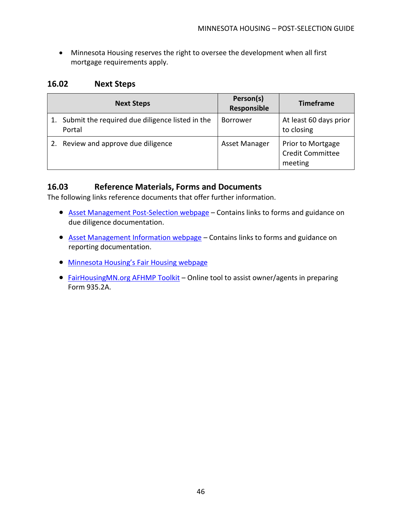• Minnesota Housing reserves the right to oversee the development when all first mortgage requirements apply.

### <span id="page-47-0"></span>**16.02 Next Steps**

|    | <b>Next Steps</b>                                         | Person(s)<br>Responsible | <b>Timeframe</b>                                        |
|----|-----------------------------------------------------------|--------------------------|---------------------------------------------------------|
|    | Submit the required due diligence listed in the<br>Portal | <b>Borrower</b>          | At least 60 days prior<br>to closing                    |
| 2. | Review and approve due diligence                          | Asset Manager            | Prior to Mortgage<br><b>Credit Committee</b><br>meeting |

### <span id="page-47-1"></span>**16.03 Reference Materials, Forms and Documents**

- [Asset Management Post-Selection webpage](https://www.mnhousing.gov/sites/multifamily/postselection/developers) Contains links to forms and guidance on due diligence documentation.
- [Asset Management Information webpage](https://www.mnhousing.gov/sites/multifamily/assetmanagement) Contains links to forms and guidance on reporting documentation.
- [Minnesota Housing's Fair Housing webpage](https://www.mnhousing.gov/sites/np/fairhousing)
- [FairHousingMN.org AFHMP Toolkit](https://amtk.housinglink.org/login) Online tool to assist owner/agents in preparing Form 935.2A.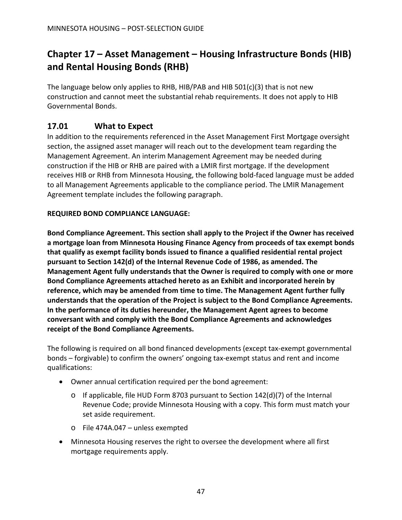# <span id="page-48-0"></span>**Chapter 17 – Asset Management – Housing Infrastructure Bonds (HIB) and Rental Housing Bonds (RHB)**

The language below only applies to RHB, HIB/PAB and HIB  $501(c)(3)$  that is not new construction and cannot meet the substantial rehab requirements. It does not apply to HIB Governmental Bonds.

### <span id="page-48-1"></span>**17.01 What to Expect**

In addition to the requirements referenced in the Asset Management First Mortgage oversight section, the assigned asset manager will reach out to the development team regarding the Management Agreement. An interim Management Agreement may be needed during construction if the HIB or RHB are paired with a LMIR first mortgage. If the development receives HIB or RHB from Minnesota Housing, the following bold-faced language must be added to all Management Agreements applicable to the compliance period. The LMIR Management Agreement template includes the following paragraph.

### **REQUIRED BOND COMPLIANCE LANGUAGE:**

**Bond Compliance Agreement. This section shall apply to the Project if the Owner has received a mortgage loan from Minnesota Housing Finance Agency from proceeds of tax exempt bonds that qualify as exempt facility bonds issued to finance a qualified residential rental project pursuant to Section 142(d) of the Internal Revenue Code of 1986, as amended. The Management Agent fully understands that the Owner is required to comply with one or more Bond Compliance Agreements attached hereto as an Exhibit and incorporated herein by reference, which may be amended from time to time. The Management Agent further fully understands that the operation of the Project is subject to the Bond Compliance Agreements. In the performance of its duties hereunder, the Management Agent agrees to become conversant with and comply with the Bond Compliance Agreements and acknowledges receipt of the Bond Compliance Agreements.**

The following is required on all bond financed developments (except tax-exempt governmental bonds – forgivable) to confirm the owners' ongoing tax-exempt status and rent and income qualifications:

- Owner annual certification required per the bond agreement:
	- $\circ$  If applicable, file HUD Form 8703 pursuant to Section 142(d)(7) of the Internal Revenue Code; provide Minnesota Housing with a copy. This form must match your set aside requirement.
	- o File 474A.047 unless exempted
- Minnesota Housing reserves the right to oversee the development where all first mortgage requirements apply.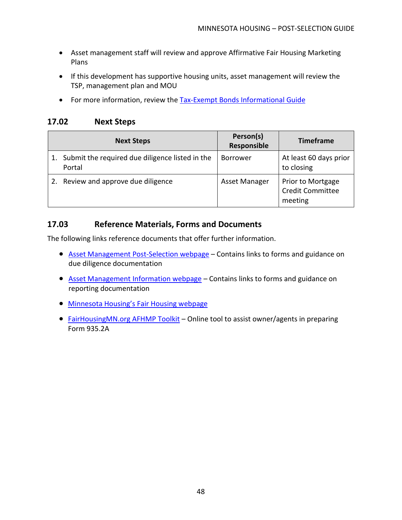- Asset management staff will review and approve Affirmative Fair Housing Marketing Plans
- If this development has supportive housing units, asset management will review the TSP, management plan and MOU
- For more information, review the [Tax-Exempt Bonds Informational](https://www.mnhousing.gov/get/MHFA_1038786) Guide

### <span id="page-49-0"></span>**17.02 Next Steps**

| <b>Next Steps</b>                                         | Person(s)<br>Responsible | <b>Timeframe</b>                                        |
|-----------------------------------------------------------|--------------------------|---------------------------------------------------------|
| Submit the required due diligence listed in the<br>Portal | <b>Borrower</b>          | At least 60 days prior<br>to closing                    |
| Review and approve due diligence                          | Asset Manager            | Prior to Mortgage<br><b>Credit Committee</b><br>meeting |

### <span id="page-49-1"></span>**17.03 Reference Materials, Forms and Documents**

- [Asset Management Post-Selection webpage](https://www.mnhousing.gov/sites/multifamily/postselection/developers) Contains links to forms and guidance on due diligence documentation
- [Asset Management Information webpage](https://www.mnhousing.gov/sites/multifamily/assetmanagement) Contains links to forms and guidance on reporting documentation
- [Minnesota Housing's Fair Housing webpage](https://www.mnhousing.gov/sites/np/fairhousing)
- [FairHousingMN.org AFHMP Toolkit](https://amtk.housinglink.org/login) Online tool to assist owner/agents in preparing Form 935.2A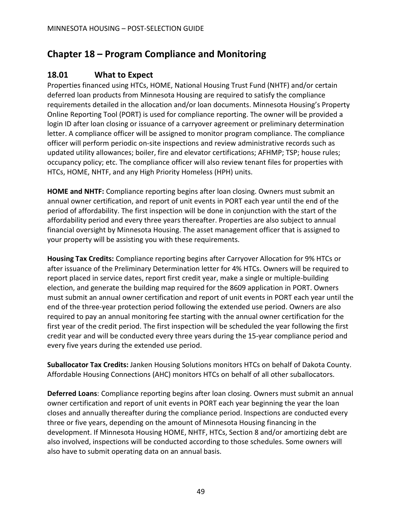# <span id="page-50-0"></span>**Chapter 18 – Program Compliance and Monitoring**

### <span id="page-50-1"></span>**18.01 What to Expect**

Properties financed using HTCs, HOME, National Housing Trust Fund (NHTF) and/or certain deferred loan products from Minnesota Housing are required to satisfy the compliance requirements detailed in the allocation and/or loan documents. Minnesota Housing's Property Online Reporting Tool (PORT) is used for compliance reporting. The owner will be provided a login ID after loan closing or issuance of a carryover agreement or preliminary determination letter. A compliance officer will be assigned to monitor program compliance. The compliance officer will perform periodic on-site inspections and review administrative records such as updated utility allowances; boiler, fire and elevator certifications; AFHMP; TSP; house rules; occupancy policy; etc. The compliance officer will also review tenant files for properties with HTCs, HOME, NHTF, and any High Priority Homeless (HPH) units.

**HOME and NHTF:** Compliance reporting begins after loan closing. Owners must submit an annual owner certification, and report of unit events in PORT each year until the end of the period of affordability. The first inspection will be done in conjunction with the start of the affordability period and every three years thereafter. Properties are also subject to annual financial oversight by Minnesota Housing. The asset management officer that is assigned to your property will be assisting you with these requirements.

**Housing Tax Credits:** Compliance reporting begins after Carryover Allocation for 9% HTCs or after issuance of the Preliminary Determination letter for 4% HTCs. Owners will be required to report placed in service dates, report first credit year, make a single or multiple-building election, and generate the building map required for the 8609 application in PORT. Owners must submit an annual owner certification and report of unit events in PORT each year until the end of the three-year protection period following the extended use period. Owners are also required to pay an annual monitoring fee starting with the annual owner certification for the first year of the credit period. The first inspection will be scheduled the year following the first credit year and will be conducted every three years during the 15-year compliance period and every five years during the extended use period.

**Suballocator Tax Credits:** Janken Housing Solutions monitors HTCs on behalf of Dakota County. Affordable Housing Connections (AHC) monitors HTCs on behalf of all other suballocators.

**Deferred Loans**: Compliance reporting begins after loan closing. Owners must submit an annual owner certification and report of unit events in PORT each year beginning the year the loan closes and annually thereafter during the compliance period. Inspections are conducted every three or five years, depending on the amount of Minnesota Housing financing in the development. If Minnesota Housing HOME, NHTF, HTCs, Section 8 and/or amortizing debt are also involved, inspections will be conducted according to those schedules. Some owners will also have to submit operating data on an annual basis.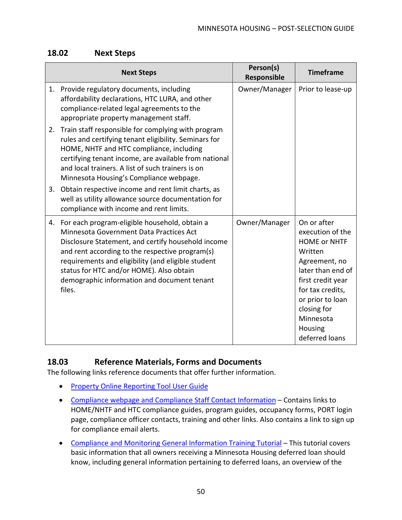### <span id="page-51-0"></span>**18.02 Next Steps**

|    | <b>Next Steps</b>                                                                                                                                                                                                                                                                                                                                               | Person(s)<br>Responsible | <b>Timeframe</b>                                                                                                                                                                                                              |
|----|-----------------------------------------------------------------------------------------------------------------------------------------------------------------------------------------------------------------------------------------------------------------------------------------------------------------------------------------------------------------|--------------------------|-------------------------------------------------------------------------------------------------------------------------------------------------------------------------------------------------------------------------------|
|    | 1. Provide regulatory documents, including<br>affordability declarations, HTC LURA, and other<br>compliance-related legal agreements to the<br>appropriate property management staff.                                                                                                                                                                           | Owner/Manager            | Prior to lease-up                                                                                                                                                                                                             |
| 2. | Train staff responsible for complying with program<br>rules and certifying tenant eligibility. Seminars for<br>HOME, NHTF and HTC compliance, including<br>certifying tenant income, are available from national<br>and local trainers. A list of such trainers is on<br>Minnesota Housing's Compliance webpage.                                                |                          |                                                                                                                                                                                                                               |
| 3. | Obtain respective income and rent limit charts, as<br>well as utility allowance source documentation for<br>compliance with income and rent limits.                                                                                                                                                                                                             |                          |                                                                                                                                                                                                                               |
|    | 4. For each program-eligible household, obtain a<br>Minnesota Government Data Practices Act<br>Disclosure Statement, and certify household income<br>and rent according to the respective program(s)<br>requirements and eligibility (and eligible student<br>status for HTC and/or HOME). Also obtain<br>demographic information and document tenant<br>files. | Owner/Manager            | On or after<br>execution of the<br><b>HOME or NHTF</b><br>Written<br>Agreement, no<br>later than end of<br>first credit year<br>for tax credits,<br>or prior to loan<br>closing for<br>Minnesota<br>Housing<br>deferred loans |

### <span id="page-51-1"></span>**18.03 Reference Materials, Forms and Documents**

- [Property Online Reporting Tool User Guide](https://www.mnhousing.gov/get/MHFA_1016460)
- [Compliance webpage and Compliance Staff Contact Information](https://www.mnhousing.gov/sites/multifamily/compliance) Contains links to HOME/NHTF and HTC compliance guides, program guides, occupancy forms, PORT login page, compliance officer contacts, training and other links. Also contains a link to sign up for compliance email alerts.
- [Compliance and Monitoring General Information Training](https://youtu.be/GagjbkTHXOo) Tutorial This tutorial covers basic information that all owners receiving a Minnesota Housing deferred loan should know, including general information pertaining to deferred loans, an overview of the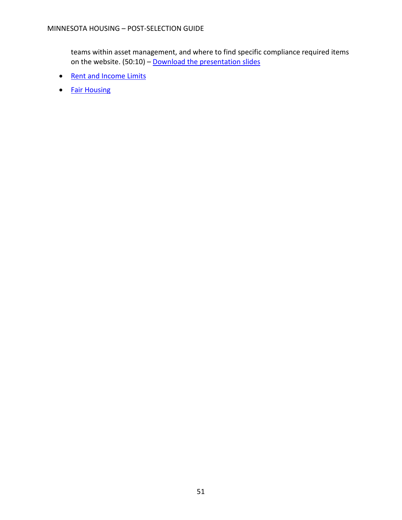teams within asset management, and where to find specific compliance required items on the website. (50:10) – [Download the presentation slides](https://www.mnhousing.gov/get/MHFA_260357)

- [Rent and Income Limits](https://www.mnhousing.gov/sites/multifamily/limits)
- [Fair Housing](https://www.mnhousing.gov/sites/np/fairhousing)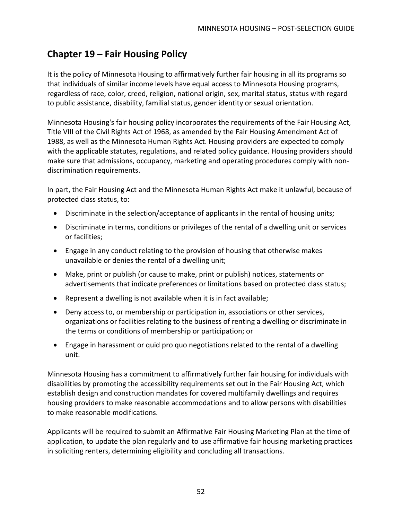# <span id="page-53-0"></span>**Chapter 19 – Fair Housing Policy**

It is the policy of Minnesota Housing to affirmatively further fair housing in all its programs so that individuals of similar income levels have equal access to Minnesota Housing programs, regardless of race, color, creed, religion, national origin, sex, marital status, status with regard to public assistance, disability, familial status, gender identity or sexual orientation.

Minnesota Housing's fair housing policy incorporates the requirements of the Fair Housing Act, Title VIII of the Civil Rights Act of 1968, as amended by the Fair Housing Amendment Act of 1988, as well as the Minnesota Human Rights Act. Housing providers are expected to comply with the applicable statutes, regulations, and related policy guidance. Housing providers should make sure that admissions, occupancy, marketing and operating procedures comply with nondiscrimination requirements.

In part, the Fair Housing Act and the Minnesota Human Rights Act make it unlawful, because of protected class status, to:

- Discriminate in the selection/acceptance of applicants in the rental of housing units;
- Discriminate in terms, conditions or privileges of the rental of a dwelling unit or services or facilities;
- Engage in any conduct relating to the provision of housing that otherwise makes unavailable or denies the rental of a dwelling unit;
- Make, print or publish (or cause to make, print or publish) notices, statements or advertisements that indicate preferences or limitations based on protected class status;
- Represent a dwelling is not available when it is in fact available;
- Deny access to, or membership or participation in, associations or other services, organizations or facilities relating to the business of renting a dwelling or discriminate in the terms or conditions of membership or participation; or
- Engage in harassment or quid pro quo negotiations related to the rental of a dwelling unit.

Minnesota Housing has a commitment to affirmatively further fair housing for individuals with disabilities by promoting the accessibility requirements set out in the Fair Housing Act, which establish design and construction mandates for covered multifamily dwellings and requires housing providers to make reasonable accommodations and to allow persons with disabilities to make reasonable modifications.

Applicants will be required to submit an Affirmative Fair Housing Marketing Plan at the time of application, to update the plan regularly and to use affirmative fair housing marketing practices in soliciting renters, determining eligibility and concluding all transactions.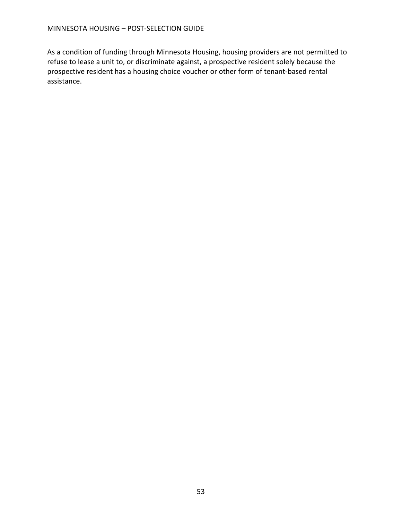As a condition of funding through Minnesota Housing, housing providers are not permitted to refuse to lease a unit to, or discriminate against, a prospective resident solely because the prospective resident has a housing choice voucher or other form of tenant-based rental assistance.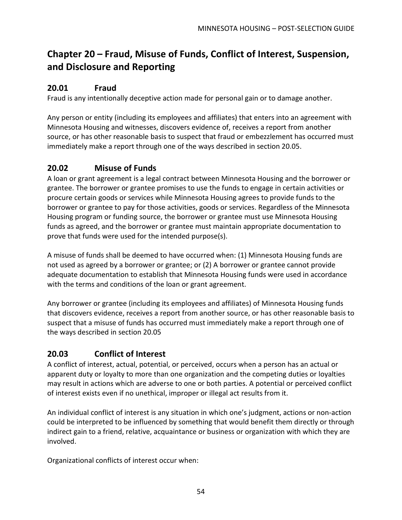# <span id="page-55-0"></span>**Chapter 20 – Fraud, Misuse of Funds, Conflict of Interest, Suspension, and Disclosure and Reporting**

### <span id="page-55-1"></span>**20.01 Fraud**

Fraud is any intentionally deceptive action made for personal gain or to damage another.

Any person or entity (including its employees and affiliates) that enters into an agreement with Minnesota Housing and witnesses, discovers evidence of, receives a report from another source, or has other reasonable basis to suspect that fraud or embezzlement has occurred must immediately make a report through one of the ways described in section 20.05.

### <span id="page-55-2"></span>**20.02 Misuse of Funds**

A loan or grant agreement is a legal contract between Minnesota Housing and the borrower or grantee. The borrower or grantee promises to use the funds to engage in certain activities or procure certain goods or services while Minnesota Housing agrees to provide funds to the borrower or grantee to pay for those activities, goods or services. Regardless of the Minnesota Housing program or funding source, the borrower or grantee must use Minnesota Housing funds as agreed, and the borrower or grantee must maintain appropriate documentation to prove that funds were used for the intended purpose(s).

A misuse of funds shall be deemed to have occurred when: (1) Minnesota Housing funds are not used as agreed by a borrower or grantee; or (2) A borrower or grantee cannot provide adequate documentation to establish that Minnesota Housing funds were used in accordance with the terms and conditions of the loan or grant agreement.

Any borrower or grantee (including its employees and affiliates) of Minnesota Housing funds that discovers evidence, receives a report from another source, or has other reasonable basis to suspect that a misuse of funds has occurred must immediately make a report through one of the ways described in section 20.05

### <span id="page-55-3"></span>**20.03 Conflict of Interest**

A conflict of interest, actual, potential, or perceived, occurs when a person has an actual or apparent duty or loyalty to more than one organization and the competing duties or loyalties may result in actions which are adverse to one or both parties. A potential or perceived conflict of interest exists even if no unethical, improper or illegal act results from it.

An individual conflict of interest is any situation in which one's judgment, actions or non-action could be interpreted to be influenced by something that would benefit them directly or through indirect gain to a friend, relative, acquaintance or business or organization with which they are involved.

Organizational conflicts of interest occur when: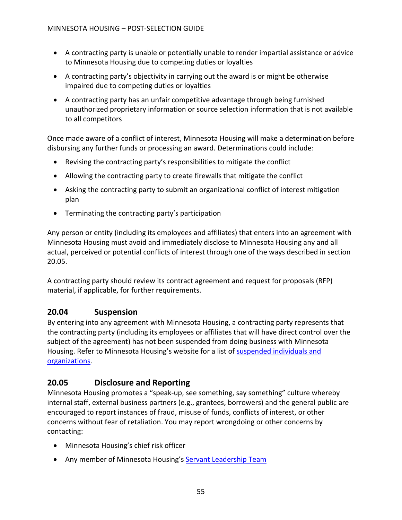- A contracting party is unable or potentially unable to render impartial assistance or advice to Minnesota Housing due to competing duties or loyalties
- A contracting party's objectivity in carrying out the award is or might be otherwise impaired due to competing duties or loyalties
- A contracting party has an unfair competitive advantage through being furnished unauthorized proprietary information or source selection information that is not available to all competitors

Once made aware of a conflict of interest, Minnesota Housing will make a determination before disbursing any further funds or processing an award. Determinations could include:

- Revising the contracting party's responsibilities to mitigate the conflict
- Allowing the contracting party to create firewalls that mitigate the conflict
- Asking the contracting party to submit an organizational conflict of interest mitigation plan
- Terminating the contracting party's participation

Any person or entity (including its employees and affiliates) that enters into an agreement with Minnesota Housing must avoid and immediately disclose to Minnesota Housing any and all actual, perceived or potential conflicts of interest through one of the ways described in section 20.05.

A contracting party should review its contract agreement and request for proposals (RFP) material, if applicable, for further requirements.

### <span id="page-56-0"></span>**20.04 Suspension**

By entering into any agreement with Minnesota Housing, a contracting party represents that the contracting party (including its employees or affiliates that will have direct control over the subject of the agreement) has not been suspended from doing business with Minnesota Housing. Refer to Minnesota Housing's website for a list of [suspended individuals and](https://www.mnhousing.gov/sites/np/suspensions)  [organizations.](https://www.mnhousing.gov/sites/np/suspensions)

### <span id="page-56-1"></span>**20.05 Disclosure and Reporting**

Minnesota Housing promotes a "speak-up, see something, say something" culture whereby internal staff, external business partners (e.g., grantees, borrowers) and the general public are encouraged to report instances of fraud, misuse of funds, conflicts of interest, or other concerns without fear of retaliation. You may report wrongdoing or other concerns by contacting:

- Minnesota Housing's chief risk officer
- Any member of Minnesota Housing's [Servant Leadership Team](https://www.mnhousing.gov/sites/np/leadership)